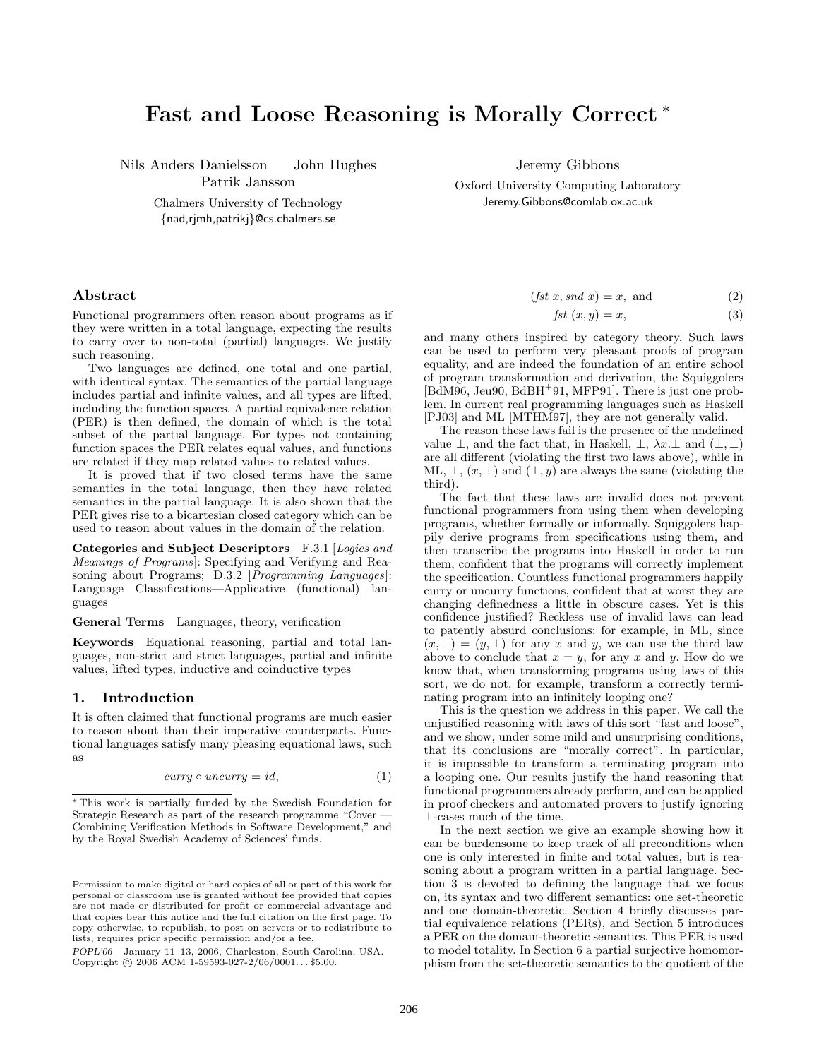# **Fast and Loose Reasoning is Morally Correct** <sup>∗</sup>

Nils Anders Danielsson John Hughes Patrik Jansson

> Chalmers University of Technology {nad,rjmh,patrikj}@cs.chalmers.se

# **Abstract**

Functional programmers often reason about programs as if they were written in a total language, expecting the results to carry over to non-total (partial) languages. We justify such reasoning.

Two languages are defined, one total and one partial, with identical syntax. The semantics of the partial language includes partial and infinite values, and all types are lifted, including the function spaces. A partial equivalence relation (PER) is then defined, the domain of which is the total subset of the partial language. For types not containing function spaces the PER relates equal values, and functions are related if they map related values to related values.

It is proved that if two closed terms have the same semantics in the total language, then they have related semantics in the partial language. It is also shown that the PER gives rise to a bicartesian closed category which can be used to reason about values in the domain of the relation.

**Categories and Subject Descriptors** F.3.1 [Logics and Meanings of Programs]: Specifying and Verifying and Reasoning about Programs; D.3.2 [*Programming Languages*]: Language Classifications—Applicative (functional) languages

**General Terms** Languages, theory, verification

**Keywords** Equational reasoning, partial and total languages, non-strict and strict languages, partial and infinite values, lifted types, inductive and coinductive types

# **1. Introduction**

It is often claimed that functional programs are much easier to reason about than their imperative counterparts. Functional languages satisfy many pleasing equational laws, such as

$$
curry \circ uncurry = id,\tag{1}
$$

*POPL'06* January 11–13, 2006, Charleston, South Carolina, USA. Copyright  $\odot$  2006 ACM 1-59593-027-2/06/0001...\$5.00.

Jeremy Gibbons

Oxford University Computing Laboratory Jeremy.Gibbons@comlab.ox.ac.uk

$$
(fst\ x,snd\ x) = x, and \qquad (2)
$$

$$
fst(x, y) = x,\t\t(3)
$$

and many others inspired by category theory. Such laws can be used to perform very pleasant proofs of program equality, and are indeed the foundation of an entire school of program transformation and derivation, the Squiggolers [BdM96, Jeu90, BdBH<sup>+</sup>91, MFP91]. There is just one problem. In current real programming languages such as Haskell [PJ03] and ML [MTHM97], they are not generally valid.

The reason these laws fail is the presence of the undefined value  $\bot$ , and the fact that, in Haskell,  $\bot$ ,  $\lambda x.\bot$  and  $(\bot, \bot)$ are all different (violating the first two laws above), while in ML,  $\bot$ ,  $(x, \bot)$  and  $(\bot, y)$  are always the same (violating the third).

The fact that these laws are invalid does not prevent functional programmers from using them when developing programs, whether formally or informally. Squiggolers happily derive programs from specifications using them, and then transcribe the programs into Haskell in order to run them, confident that the programs will correctly implement the specification. Countless functional programmers happily curry or uncurry functions, confident that at worst they are changing definedness a little in obscure cases. Yet is this confidence justified? Reckless use of invalid laws can lead to patently absurd conclusions: for example, in ML, since  $(x, \perp) = (y, \perp)$  for any x and y, we can use the third law above to conclude that  $x = y$ , for any x and y. How do we know that, when transforming programs using laws of this sort, we do not, for example, transform a correctly terminating program into an infinitely looping one?

This is the question we address in this paper. We call the unjustified reasoning with laws of this sort "fast and loose", and we show, under some mild and unsurprising conditions, that its conclusions are "morally correct". In particular, it is impossible to transform a terminating program into a looping one. Our results justify the hand reasoning that functional programmers already perform, and can be applied in proof checkers and automated provers to justify ignoring ⊥-cases much of the time.

In the next section we give an example showing how it can be burdensome to keep track of all preconditions when one is only interested in finite and total values, but is reasoning about a program written in a partial language. Section 3 is devoted to defining the language that we focus on, its syntax and two different semantics: one set-theoretic and one domain-theoretic. Section 4 briefly discusses partial equivalence relations (PERs), and Section 5 introduces a PER on the domain-theoretic semantics. This PER is used to model totality. In Section 6 a partial surjective homomorphism from the set-theoretic semantics to the quotient of the

<sup>∗</sup> This work is partially funded by the Swedish Foundation for Strategic Research as part of the research programme "Cover — Combining Verification Methods in Software Development," and by the Royal Swedish Academy of Sciences' funds.

Permission to make digital or hard copies of all or part of this work for personal or classroom use is granted without fee provided that copies are not made or distributed for profit or commercial advantage and that copies bear this notice and the full citation on the first page. To copy otherwise, to republish, to post on servers or to redistribute to lists, requires prior specific permission and/or a fee.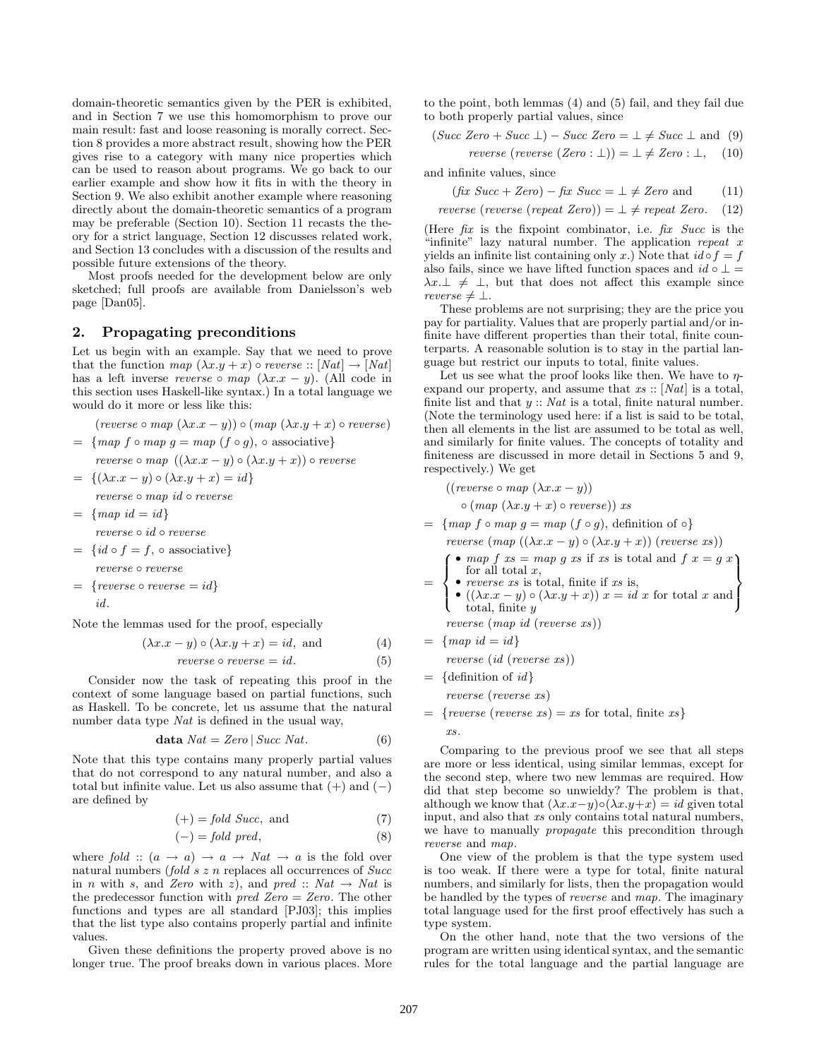domain-theoretic semantics given by the PER is exhibited, and in Section 7 we use this homomorphism to prove our main result: fast and loose reasoning is morally correct. Section 8 provides a more abstract result, showing how the PER gives rise to a category with many nice properties which can be used to reason about programs. We go back to our earlier example and show how it fits in with the theory in Section 9. We also exhibit another example where reasoning directly about the domain-theoretic semantics of a program may be preferable (Section 10). Section 11 recasts the theory for a strict language, Section 12 discusses related work, and Section 13 concludes with a discussion of the results and possible future extensions of the theory.

Most proofs needed for the development below are only sketched; full proofs are available from Danielsson's web page [Dan05].

#### **2. Propagating preconditions**

Let us begin with an example. Say that we need to prove that the function map  $(\lambda x \cdot y + x) \circ$  reverse ::  $[Nat] \rightarrow [Nat]$ has a left inverse reverse ∘ map  $(\lambda x.x - y)$ . (All code in this section uses Haskell-like syntax.) In a total language we would do it more or less like this:

$$
(reverse \circ map \ (\lambda x.x - y)) \circ (map \ (\lambda x.y + x) \circ reverse)
$$

$$
= \{ map \ f \circ map \ g = map \ (f \circ g), \ \circ \ \text{associative} \}
$$
\n
$$
reverse \circ map \ ((\lambda x.x - y) \circ (\lambda x.y + x)) \circ reverse
$$

 $= \{(\lambda x.x - y) \circ (\lambda x.y + x) = id\}$ 

reverse ◦ map id ◦ reverse

 $= \{map \ id = id \}$ 

reverse ◦ id ◦ reverse

- $= \{id \circ f = f, \circ \text{associative}\}\$ reverse ◦ reverse
- $= \{reverse \circ reverse = id\}$ id.

Note the lemmas used for the proof, especially

$$
(\lambda x \cdot x - y) \circ (\lambda x \cdot y + x) = id, \text{ and } (4)
$$

$$
reverse \circ reverse = id. \tag{5}
$$

Consider now the task of repeating this proof in the context of some language based on partial functions, such as Haskell. To be concrete, let us assume that the natural number data type Nat is defined in the usual way,

$$
\mathbf{data}\; Nat = Zero \; | \; Succ\; Nat. \tag{6}
$$

Note that this type contains many properly partial values that do not correspond to any natural number, and also a total but infinite value. Let us also assume that  $(+)$  and  $(-)$ are defined by

$$
(+) = fold Succ, \text{ and } (7)
$$

$$
(-) = fold pred,
$$
 (8)

where fold ::  $(a \rightarrow a) \rightarrow a \rightarrow Nat \rightarrow a$  is the fold over natural numbers (fold  $s \, z \, n$  replaces all occurrences of  $Succ$ in *n* with *s*, and Zero with *z*), and pred :: Nat  $\rightarrow$  Nat is the predecessor function with *pred Zero* = Zero. The other functions and types are all standard [PJ03]; this implies that the list type also contains properly partial and infinite values.

Given these definitions the property proved above is no longer true. The proof breaks down in various places. More to the point, both lemmas  $(4)$  and  $(5)$  fail, and they fail due to both properly partial values, since

$$
(Succ Zero + Succ \perp) - Succ Zero = \perp \neq Succ \perp \text{ and } (9)
$$

reverse (reverse  $(Zero : \bot) = \bot \neq Zero : \bot$ , (10)

and infinite values, since

$$
(fix \; Succ + Zero) - fix \; Succ = \bot \neq Zero \; and \qquad (11)
$$

reverse (reverse (repeat Zero)) = 
$$
\perp \neq
$$
 repeat Zero. (12)

(Here  $fix$  is the fixpoint combinator, i.e.  $fix$  Succ is the "infinite" lazy natural number. The application repeat x yields an infinite list containing only x.) Note that  $id \circ f = f$ also fails, since we have lifted function spaces and  $id \circ \bot$  $\lambda x.\perp \neq \perp$ , but that does not affect this example since reverse  $\neq \bot$ .

These problems are not surprising; they are the price you pay for partiality. Values that are properly partial and/or infinite have different properties than their total, finite counterparts. A reasonable solution is to stay in the partial language but restrict our inputs to total, finite values.

Let us see what the proof looks like then. We have to  $\eta$ expand our property, and assume that  $xs::[Nat]$  is a total, finite list and that  $y$  :: Nat is a total, finite natural number. (Note the terminology used here: if a list is said to be total, then all elements in the list are assumed to be total as well, and similarly for finite values. The concepts of totality and finiteness are discussed in more detail in Sections 5 and 9, respectively.) We get

$$
((reverse \circ map (\lambda x.x - y))
$$
  
 
$$
\circ (map (\lambda x.y + x) \circ reverse)) xs
$$

$$
= \{ \text{map } f \circ \text{map } g = \text{map } (f \circ g), \text{ definition of } \circ \}
$$

reverse  $(\text{map } ((\lambda x.x - y) \circ (\lambda x.y + x))$  (reverse xs))

$$
\int \begin{array}{c} \bullet \ map \ f \ xs = \ map \ g \ xs \ \text{if} \ xs \ \text{is} \ \text{total} \ \text{and} \ \ f \ x = g \ x \\ \text{for all total} \ x, \\ \bullet \ \ \text{reverse} \ \text{is} \ \text{total} \ \ \text{finite} \ \text{if} \ \ \text{rs} \ \text{is} \end{array}
$$

=  $\mathbf{I}$ • *reverse xs* is total, finite if xs is, •  $((\lambda x.x - y) \circ (\lambda x.y + x)) x = id x$  for total x and total, finite y  $\int$ 

reverse (map id (reverse xs))

$$
= \{map\ id = id\}
$$

reverse (id (reverse xs))

$$
= \{ \text{definition of } id \}
$$

reverse (reverse xs)

 $=$  {reverse (reverse xs) = xs for total, finite xs} xs.

Comparing to the previous proof we see that all steps are more or less identical, using similar lemmas, except for the second step, where two new lemmas are required. How did that step become so unwieldy? The problem is that, although we know that  $(\lambda x.x-y) \circ (\lambda x.y+x) = id$  given total input, and also that xs only contains total natural numbers, we have to manually *propagate* this precondition through reverse and map.

One view of the problem is that the type system used is too weak. If there were a type for total, finite natural numbers, and similarly for lists, then the propagation would be handled by the types of reverse and map. The imaginary total language used for the first proof effectively has such a type system.

On the other hand, note that the two versions of the program are written using identical syntax, and the semantic rules for the total language and the partial language are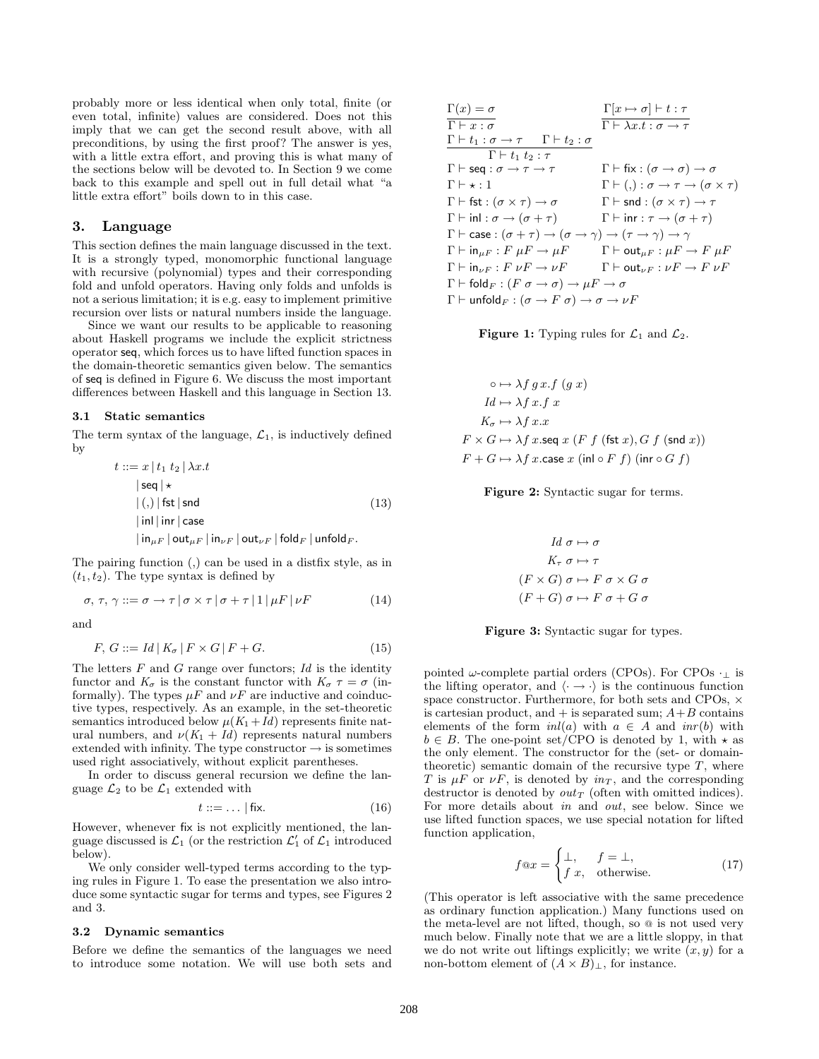probably more or less identical when only total, finite (or even total, infinite) values are considered. Does not this imply that we can get the second result above, with all preconditions, by using the first proof? The answer is yes, with a little extra effort, and proving this is what many of the sections below will be devoted to. In Section 9 we come back to this example and spell out in full detail what "a little extra effort" boils down to in this case.

# **3. Language**

This section defines the main language discussed in the text. It is a strongly typed, monomorphic functional language with recursive (polynomial) types and their corresponding fold and unfold operators. Having only folds and unfolds is not a serious limitation; it is e.g. easy to implement primitive recursion over lists or natural numbers inside the language.

Since we want our results to be applicable to reasoning about Haskell programs we include the explicit strictness operator seq, which forces us to have lifted function spaces in the domain-theoretic semantics given below. The semantics of seq is defined in Figure 6. We discuss the most important differences between Haskell and this language in Section 13.

#### **3.1 Static semantics**

The term syntax of the language,  $\mathcal{L}_1$ , is inductively defined by

$$
t ::= x | t_1 t_2 | \lambda x. t
$$
  
\n
$$
|seq | \star
$$
  
\n
$$
|(.)| \text{fst} | \text{snd}
$$
  
\n
$$
| \text{in} | \text{inr} | \text{case}
$$
  
\n
$$
| \text{in}_{\mu F} | \text{out}_{\mu F} | \text{in}_{\nu F} | \text{out}_{\nu F} | \text{fold}_{F} | \text{unfold}_{F}.
$$
  
\n(13)

The pairing function  $($ ,  $)$  can be used in a distrix style, as in  $(t_1, t_2)$ . The type syntax is defined by

$$
\sigma, \tau, \gamma ::= \sigma \to \tau \, | \, \sigma \times \tau \, | \, \sigma + \tau \, | \, 1 \, | \, \mu F \, | \, \nu F \tag{14}
$$

and

$$
F, G ::= Id | K_{\sigma} | F \times G | F + G. \tag{15}
$$

The letters  $F$  and  $G$  range over functors;  $Id$  is the identity functor and  $K_{\sigma}$  is the constant functor with  $K_{\sigma} \tau = \sigma$  (informally). The types  $\mu F$  and  $\nu F$  are inductive and coinductive types, respectively. As an example, in the set-theoretic semantics introduced below  $\mu(K_1+Id)$  represents finite natural numbers, and  $\nu(K_1 + Id)$  represents natural numbers extended with infinity. The type constructor  $\rightarrow$  is sometimes used right associatively, without explicit parentheses.

In order to discuss general recursion we define the language  $\mathcal{L}_2$  to be  $\mathcal{L}_1$  extended with

$$
t ::= \dots | \text{fix.} \tag{16}
$$

However, whenever fix is not explicitly mentioned, the language discussed is  $\mathcal{L}_1$  (or the restriction  $\mathcal{L}_1'$  of  $\mathcal{L}_1$  introduced below).

We only consider well-typed terms according to the typing rules in Figure 1. To ease the presentation we also introduce some syntactic sugar for terms and types, see Figures 2 and 3.

#### **3.2 Dynamic semantics**

Before we define the semantics of the languages we need to introduce some notation. We will use both sets and

| $\Gamma(x) = \sigma$                                                                                                                             | $\Gamma[x \mapsto \sigma] \vdash t : \tau$                                     |
|--------------------------------------------------------------------------------------------------------------------------------------------------|--------------------------------------------------------------------------------|
| $\Gamma \vdash x : \sigma$                                                                                                                       | $\Gamma \vdash \lambda x.t : \sigma \rightarrow \tau$                          |
| $\Gamma \vdash t_1 : \sigma \rightarrow \tau \quad \Gamma \vdash t_2 : \sigma$                                                                   |                                                                                |
| $\Gamma \vdash t_1 t_2 : \tau$                                                                                                                   |                                                                                |
| $\Gamma \vdash$ seq : $\sigma \rightarrow \tau \rightarrow \tau$                                                                                 | $\Gamma \vdash$ fix : $(\sigma \rightarrow \sigma) \rightarrow \sigma$         |
| $\Gamma \vdash \star : 1$                                                                                                                        | $\Gamma \vdash (,) : \sigma \rightarrow \tau \rightarrow (\sigma \times \tau)$ |
| $\Gamma \vdash \mathsf{fst} : (\sigma \times \tau) \to \sigma$                                                                                   | $\Gamma \vdash \mathsf{snd} : (\sigma \times \tau) \rightarrow \tau$           |
| $\Gamma$ $\vdash$ inl : $\sigma \rightarrow (\sigma + \tau)$                                                                                     | $\Gamma \vdash \mathsf{inr} : \tau \to (\sigma + \tau)$                        |
| $\Gamma \vdash \mathsf{case} : (\sigma + \tau) \rightarrow (\sigma \rightarrow \gamma) \rightarrow (\tau \rightarrow \gamma) \rightarrow \gamma$ |                                                                                |
| $\Gamma \vdash \mathsf{in}_{\mu F} : F \mu F \to \mu F$                                                                                          | $\Gamma\vdash \mathsf{out}_{\mu F}:\mu F\to F\ \mu F$                          |
| $\Gamma \vdash \text{in}_{\nu F}: F \nu F \rightarrow \nu F$                                                                                     | $\Gamma\vdash \mathsf{out}_{{\nu} F}: {\nu} F\to F\ {\nu} F$                   |
| $\Gamma\vdash \mathsf{fold}_F:(F\sigma\to\sigma)\to\mu F\to\sigma$                                                                               |                                                                                |
| $\Gamma \vdash$ unfold $F : (\sigma \rightarrow F \sigma) \rightarrow \sigma \rightarrow \nu F$                                                  |                                                                                |

**Figure 1:** Typing rules for  $\mathcal{L}_1$  and  $\mathcal{L}_2$ .

$$
\circ \mapsto \lambda f g x.f (g x)
$$
  
\n
$$
Id \mapsto \lambda f x.f x
$$
  
\n
$$
K_{\sigma} \mapsto \lambda f x.x
$$
  
\n
$$
F \times G \mapsto \lambda f x.\text{seq } x (F f (\text{fst } x), G f (\text{snd } x))
$$
  
\n
$$
F + G \mapsto \lambda f x.\text{case } x (\text{inl } \circ F f) (\text{inr } \circ G f)
$$

**Figure 2:** Syntactic sugar for terms.

$$
Id \sigma \mapsto \sigma
$$
  
\n
$$
K_{\tau} \sigma \mapsto \tau
$$
  
\n
$$
(F \times G) \sigma \mapsto F \sigma \times G \sigma
$$
  
\n
$$
(F + G) \sigma \mapsto F \sigma + G \sigma
$$



pointed  $\omega$ -complete partial orders (CPOs). For CPOs  $\cdot_+$  is the lifting operator, and  $\langle \cdot \rightarrow \cdot \rangle$  is the continuous function space constructor. Furthermore, for both sets and CPOs,  $\times$ is cartesian product, and  $+$  is separated sum;  $A+B$  contains elements of the form  $inl(a)$  with  $a \in A$  and  $inr(b)$  with  $b \in B$ . The one-point set/CPO is denoted by 1, with  $\star$  as the only element. The constructor for the (set- or domaintheoretic) semantic domain of the recursive type  $T$ , where T is  $\mu F$  or  $\nu F$ , is denoted by  $in_T$ , and the corresponding destructor is denoted by  $out_T$  (often with omitted indices). For more details about in and out, see below. Since we use lifted function spaces, we use special notation for lifted function application,

$$
f@x = \begin{cases} \bot, & f = \bot, \\ f x, & \text{otherwise.} \end{cases}
$$
 (17)

(This operator is left associative with the same precedence as ordinary function application.) Many functions used on the meta-level are not lifted, though, so @ is not used very much below. Finally note that we are a little sloppy, in that we do not write out liftings explicitly; we write  $(x, y)$  for a non-bottom element of  $(A \times B)_{\perp}$ , for instance.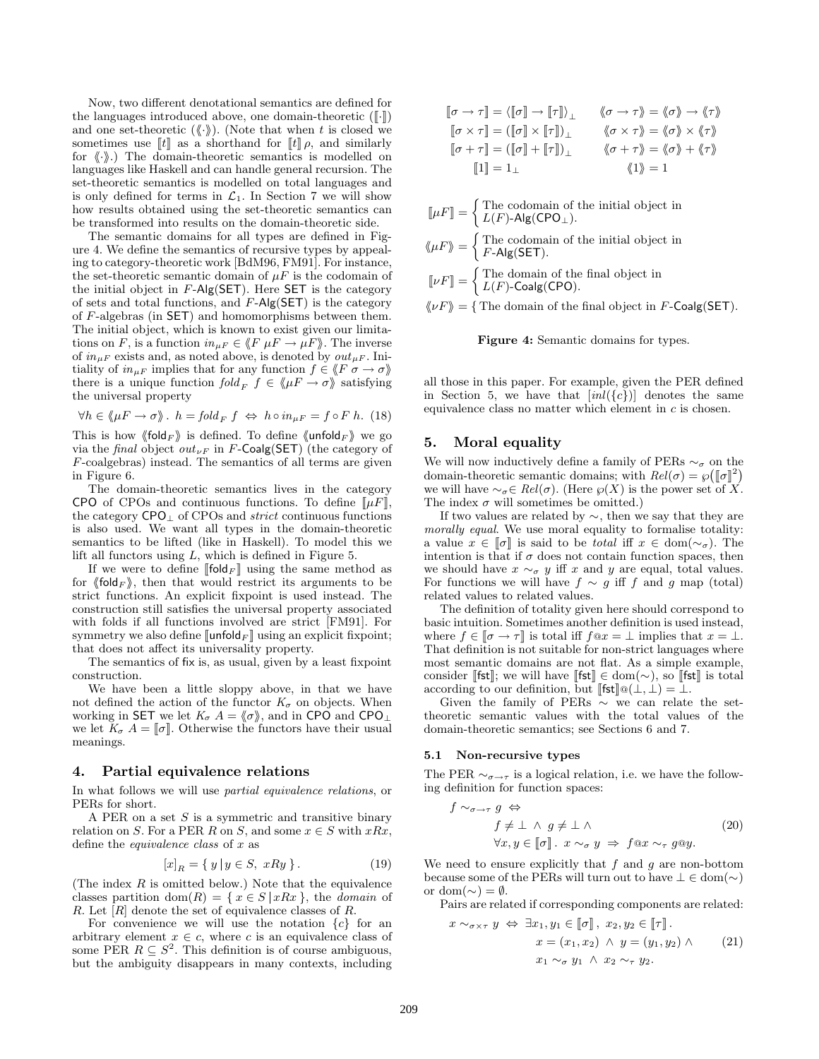Now, two different denotational semantics are defined for the languages introduced above, one domain-theoretic  $(\lceil \cdot \rceil)$ and one set-theoretic  $(\langle\!\langle \cdot \rangle\!\rangle)$ . (Note that when t is closed we sometimes use  $\llbracket t \rrbracket$  as a shorthand for  $\llbracket t \rrbracket \rho$ , and similarly for  $\langle \cdot \rangle$ .) The domain-theoretic semantics is modelled on languages like Haskell and can handle general recursion. The set-theoretic semantics is modelled on total languages and is only defined for terms in  $\mathcal{L}_1$ . In Section 7 we will show how results obtained using the set-theoretic semantics can be transformed into results on the domain-theoretic side.

The semantic domains for all types are defined in Figure 4. We define the semantics of recursive types by appealing to category-theoretic work [BdM96, FM91]. For instance, the set-theoretic semantic domain of  $\mu F$  is the codomain of the initial object in  $F\text{-Alg}(\mathsf{SET})$ . Here  $\mathsf{SET}$  is the category of sets and total functions, and  $F\text{-Alg}(\mathsf{SET})$  is the category of  $F$ -algebras (in  $SET$ ) and homomorphisms between them. The initial object, which is known to exist given our limitations on F, is a function  $in_{\mu F} \in \langle F \mu F \to \mu F \rangle$ . The inverse of  $in_{HF}$  exists and, as noted above, is denoted by  $out_{HF}$ . Initiality of  $in_{\mu F}$  implies that for any function  $f \in \langle F \sigma \to \sigma \rangle$ there is a unique function  $fold_F$   $f \in \langle \mu F \to \sigma \rangle$  satisfying the universal property

$$
\forall h \in \langle \mu F \to \sigma \rangle \quad h = fold_F f \iff h \circ in_{\mu F} = f \circ F h. \tag{18}
$$

This is how  $\langle \text{fold}_F \rangle$  is defined. To define  $\langle \text{unfold}_F \rangle$  we go via the final object out<sub>VF</sub> in F-Coalg(SET) (the category of  $F$ -coalgebras) instead. The semantics of all terms are given in Figure 6.

The domain-theoretic semantics lives in the category CPO of CPOs and continuous functions. To define  $\llbracket \mu F \rrbracket$ , the category CPO<sup>⊥</sup> of CPOs and strict continuous functions is also used. We want all types in the domain-theoretic semantics to be lifted (like in Haskell). To model this we lift all functors using L, which is defined in Figure 5.

If we were to define [fold<sub>F</sub>] using the same method as for  $\langle \text{fold}_F \rangle$ , then that would restrict its arguments to be strict functions. An explicit fixpoint is used instead. The construction still satisfies the universal property associated with folds if all functions involved are strict [FM91]. For symmetry we also define  $\llbracket \mathsf{unfold}_F \rrbracket$  using an explicit fixpoint; that does not affect its universality property.

The semantics of fix is, as usual, given by a least fixpoint construction.

We have been a little sloppy above, in that we have not defined the action of the functor  $K_{\sigma}$  on objects. When working in SET we let  $K_{\sigma} A = \langle \sigma \rangle$ , and in CPO and CPO<sub>⊥</sub> we let  $K_{\sigma} A = [\![\sigma]\!]$ . Otherwise the functors have their usual meanings.

#### **4. Partial equivalence relations**

In what follows we will use *partial equivalence relations*, or PERs for short.

A PER on a set  $S$  is a symmetric and transitive binary relation on S. For a PER R on S, and some  $x \in S$  with  $xRx$ , define the *equivalence* class of  $x$  as

$$
[x]_R = \{ y \mid y \in S, xRy \}.
$$
 (19)

(The index  $R$  is omitted below.) Note that the equivalence classes partition dom(R) = { $x \in S | xRx$ }, the *domain* of R. Let  $|R|$  denote the set of equivalence classes of R.

For convenience we will use the notation  ${c}$  for an arbitrary element  $x \in c$ , where c is an equivalence class of some PER  $R \subseteq S^2$ . This definition is of course ambiguous, but the ambiguity disappears in many contexts, including

$$
\begin{aligned} \llbracket \sigma \rightarrow \tau \rrbracket &= \langle \llbracket \sigma \rrbracket \rightarrow \llbracket \tau \rrbracket \rangle_\bot & \langle \sigma \rightarrow \tau \rangle = \langle \sigma \rangle \rightarrow \langle \tau \rangle \\ \llbracket \sigma \times \tau \rrbracket &= \big( \llbracket \sigma \rrbracket \times \llbracket \tau \rrbracket \big)_\bot & \langle \sigma \times \tau \rangle = \langle \sigma \rangle \times \langle \tau \rangle \\ \llbracket \sigma + \tau \rrbracket &= \big( \llbracket \sigma \rrbracket + \llbracket \tau \rrbracket \big)_\bot & \langle \sigma + \tau \rangle = \langle \sigma \rangle + \langle \tau \rangle \\ \llbracket 1 \rrbracket &= 1_\bot & \langle \langle 1 \rangle = 1 \end{aligned}
$$

 $[\![\mu F]\!] = \begin{cases}$  The codomain of the initial object in  $L(F)$ -Alg $(\mathsf{CPO}_{\perp}).$ 

$$
\langle\!\langle \mu F \rangle\!\rangle = \begin{cases} \text{The codomain of the initial object in} \\ F\text{-Alg}(\text{SET}). \end{cases}
$$

 $[\![\nu F]\!] = \begin{cases}$  The domain of the final object in  $L(F)$ -Coalg(CPO).

 $\langle \psi F \rangle$  = { The domain of the final object in F-Coalg(SET).



all those in this paper. For example, given the PER defined in Section 5, we have that  $[inl({c})]$  denotes the same equivalence class no matter which element in  $c$  is chosen.

#### **5. Moral equality**

We will now inductively define a family of PERs  $\sim_{\sigma}$  on the domain-theoretic semantic domains; with  $Rel(\sigma) = \wp([\sigma]^2)$ we will have  $\sim_{\sigma} \in Rel(\sigma)$ . (Here  $\wp(X)$  is the power set of X. The index  $\sigma$  will sometimes be omitted.)

If two values are related by ∼, then we say that they are morally equal. We use moral equality to formalise totality: a value  $x \in \llbracket \sigma \rrbracket$  is said to be *total* iff  $x \in \text{dom}(\sim_{\sigma})$ . The intention is that if  $\sigma$  does not contain function spaces, then we should have  $x \sim_{\sigma} y$  iff x and y are equal, total values. For functions we will have  $f \sim g$  iff f and g map (total) related values to related values.

The definition of totality given here should correspond to basic intuition. Sometimes another definition is used instead, where  $f \in [\![ \sigma \to \tau ]\!]$  is total iff  $f@x = \bot$  implies that  $x = \bot$ . That definition is not suitable for non-strict languages where most semantic domains are not flat. As a simple example, consider [fst]; we will have  $[\![$  fst $]\!] \in \text{dom}(\sim)$ , so  $[\![$  fst $]\!]$  is total according to our definition, but  $[\![\mathsf{fst}]\!] \mathsf{\Omega}(\bot, \bot) = \bot.$ 

Given the family of PERs  $\sim$  we can relate the settheoretic semantic values with the total values of the domain-theoretic semantics; see Sections 6 and 7.

#### **5.1 Non-recursive types**

The PER  $\sim_{\sigma \to \tau}$  is a logical relation, i.e. we have the following definition for function spaces:

$$
f \sim_{\sigma \to \tau} g \Leftrightarrow
$$
  
\n
$$
f \neq \bot \land g \neq \bot \land
$$
  
\n
$$
\forall x, y \in [\![\sigma]\!]. \ x \sim_{\sigma} y \Rightarrow f \text{@} x \sim_{\tau} g \text{@} y.
$$
\n(20)

We need to ensure explicitly that  $f$  and  $g$  are non-bottom because some of the PERs will turn out to have  $\bot \in \text{dom}(\sim)$ or dom( $\sim$ ) =  $\emptyset$ .

Pairs are related if corresponding components are related:

$$
x \sim_{\sigma \times \tau} y \Leftrightarrow \exists x_1, y_1 \in [\![\sigma]\!], x_2, y_2 \in [\![\tau]\!].
$$

$$
x = (x_1, x_2) \land y = (y_1, y_2) \land (21)
$$

$$
x_1 \sim_{\sigma} y_1 \land x_2 \sim_{\tau} y_2.
$$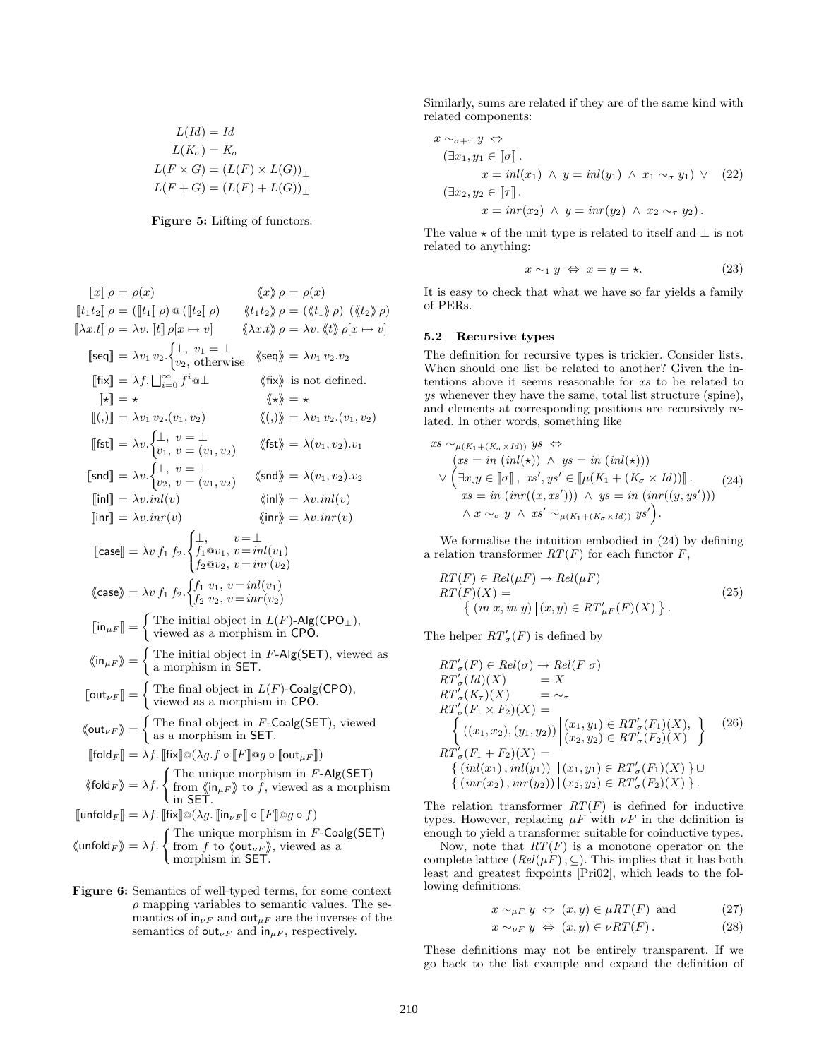$$
L(Id) = Id
$$
  
\n
$$
L(K_{\sigma}) = K_{\sigma}
$$
  
\n
$$
L(F \times G) = (L(F) \times L(G))_{\perp}
$$
  
\n
$$
L(F + G) = (L(F) + L(G))_{\perp}
$$

**Figure 5:** Lifting of functors.

x ρ = ρ(x) x ρ = ρ(x) t1t2 ρ = (t1 ρ) @ (t2 ρ) t1t2 ρ = (t1 ρ) (t2 ρ) λx.t ρ = λv. t ρ[x → v] λx.t ρ = λv. t ρ[x → v] seq- = λv<sup>1</sup> v2. ⊥, v<sup>1</sup> = ⊥ <sup>v</sup>2, otherwise seq <sup>=</sup> λv<sup>1</sup> <sup>v</sup>2.v<sup>2</sup> fix- = λf. F<sup>∞</sup> <sup>i</sup>=0 f<sup>i</sup> @⊥ fix is not defined. - = = (,)- = λv<sup>1</sup> v2.(v1, v2) (,) = λv<sup>1</sup> v2.(v1, v2) fst- <sup>=</sup> λv. ⊥, v = ⊥ <sup>v</sup>1, v = (v1, v2) fst <sup>=</sup> <sup>λ</sup>(v1, v2).v<sup>1</sup> snd- <sup>=</sup> λv. ⊥, v = ⊥ <sup>v</sup>2, v = (v1, v2) snd <sup>=</sup> <sup>λ</sup>(v1, v2).v<sup>2</sup> inl- = λv.inl (v) inl = λv.inl (v) inr- = λv.inr(v) inr = λv.inr(v) case- = λv f<sup>1</sup> f2. 8 < : ⊥, v=⊥ f1@v1, v=inl (v1) f2@v2, v=inr(v2) case = λv f<sup>1</sup> f2. f<sup>1</sup> v1, v=inl (v1) f<sup>2</sup> v2, v=inr(v2) inµF - = The initial object in L(F)-Alg(CPO⊥), viewed as a morphism in CPO. inµF = The initial object in F-Alg(SET), viewed as a morphism in SET. outνF - = The final object in L(F)-Coalg(CPO), viewed as a morphism in CPO. outνF = The final object in F-Coalg(SET), viewed as a morphism in SET. fold<sup>F</sup> - = λf. fix-@(λg.f ◦ F-@g ◦ outµF -) fold<sup>F</sup> <sup>=</sup> λf. ( The unique morphism in <sup>F</sup>-Alg(SET) from inµF to f, viewed as a morphism in SET. unfold<sup>F</sup> - = λf. fix-@(λg. inνF - ◦ F-@g ◦ f) unfold<sup>F</sup> <sup>=</sup> λf. ( The unique morphism in <sup>F</sup>-Coalg(SET) from f to outνF , viewed as a morphism in SET.

**Figure 6:** Semantics of well-typed terms, for some context  $\rho$  mapping variables to semantic values. The semantics of  $\mathsf{in}_{\nu F}$  and  $\mathsf{out}_{\mu F}$  are the inverses of the semantics of out<sub> $\nu F$ </sub> and in<sub> $\mu F$ </sub>, respectively.

Similarly, sums are related if they are of the same kind with related components:

$$
x \sim_{\sigma + \tau} y \Leftrightarrow
$$
  
\n
$$
(\exists x_1, y_1 \in [\![\sigma]\!]).
$$
  
\n
$$
x = inl(x_1) \land y = inl(y_1) \land x_1 \sim_{\sigma} y_1) \lor (22)
$$
  
\n
$$
(\exists x_2, y_2 \in [\![\tau]\!].
$$
  
\n
$$
x = inr(x_2) \land y = inr(y_2) \land x_2 \sim_{\tau} y_2).
$$

The value  $\star$  of the unit type is related to itself and  $\perp$  is not related to anything:

$$
x \sim_1 y \Leftrightarrow x = y = \star. \tag{23}
$$

It is easy to check that what we have so far yields a family of PERs.

#### **5.2 Recursive types**

The definition for recursive types is trickier. Consider lists. When should one list be related to another? Given the intentions above it seems reasonable for xs to be related to ys whenever they have the same, total list structure (spine), and elements at corresponding positions are recursively related. In other words, something like

$$
xs \sim_{\mu(K_1 + (K_{\sigma} \times Id))} ys \Leftrightarrow
$$
  
\n
$$
(xs = in (inl(\star)) \land ys = in (inl(\star)))
$$
  
\n
$$
\lor (\exists x, y \in [\![\sigma]\!], xs', ys' \in [\![\mu(K_1 + (K_{\sigma} \times Id))]\!]).
$$
  
\n
$$
xs = in (inr((x, xs'))) \land ys = in (inr((y, ys')))
$$
  
\n
$$
\land x \sim_{\sigma} y \land xs' \sim_{\mu(K_1 + (K_{\sigma} \times Id))} ys').
$$
\n(24)

We formalise the intuition embodied in  $(24)$  by defining a relation transformer  $RT(F)$  for each functor F,

$$
RT(F) \in Rel(\mu F) \to Rel(\mu F)
$$
  
\n
$$
RT(F)(X) = \{ (in x, in y) | (x, y) \in RT'_{\mu F}(F)(X) \}.
$$
\n
$$
(25)
$$

The helper  $RT'_{\sigma}(F)$  is defined by

$$
RT'_{\sigma}(F) \in Rel(\sigma) \to Rel(F \sigma)
$$
  
\n
$$
RT'_{\sigma}(Id)(X) = X
$$
  
\n
$$
RT'_{\sigma}(K_{\tau})(X) = \sim_{\tau}
$$
  
\n
$$
RT'_{\sigma}(F_1 \times F_2)(X) = \left\{ ((x_1, x_2), (y_1, y_2)) \middle| (x_1, y_1) \in RT'_{\sigma}(F_1)(X), \atop (x_2, y_2) \in RT'_{\sigma}(F_2)(X) \right\}
$$
  
\n
$$
RT'_{\sigma}(F_1 + F_2)(X) = \left\{ (inl(x_1), inl(y_1)) \middle| (x_1, y_1) \in RT'_{\sigma}(F_1)(X) \atop \{(inr(x_2), inr(y_2)) \middle| (x_2, y_2) \in RT'_{\sigma}(F_2)(X) \right\}.
$$

The relation transformer  $RT(F)$  is defined for inductive types. However, replacing  $\mu F$  with  $\nu F$  in the definition is enough to yield a transformer suitable for coinductive types.

Now, note that  $RT(F)$  is a monotone operator on the complete lattice  $(Rel(\mu \dot{F}), \subseteq)$ . This implies that it has both least and greatest fixpoints [Pri02], which leads to the following definitions:

$$
x \sim_{\mu F} y \Leftrightarrow (x, y) \in \mu RT(F) \text{ and } (27)
$$

$$
x \sim_{\nu F} y \Leftrightarrow (x, y) \in \nu RT(F). \tag{28}
$$

These definitions may not be entirely transparent. If we go back to the list example and expand the definition of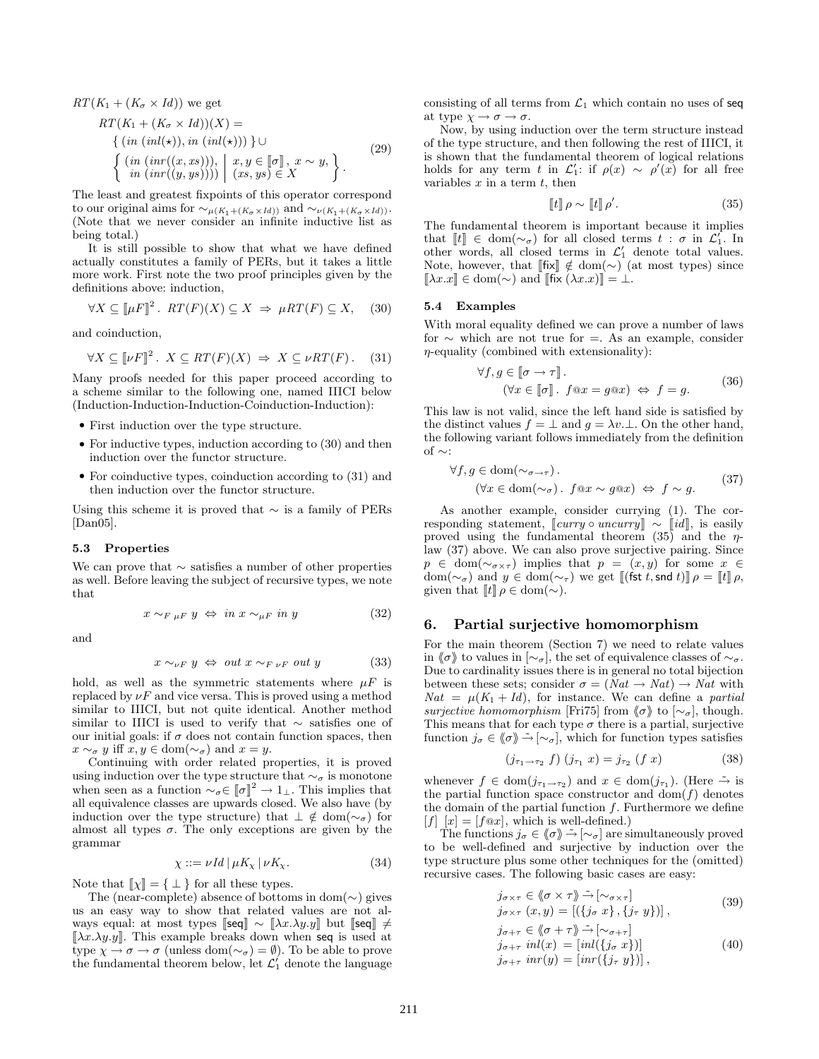$RT(K_1 + (K_\sigma \times Id))$  we get

$$
RT(K_1 + (K_\sigma \times Id))(X) =
$$
  
\n
$$
\{ (in (inl(\star)), in (inl(\star))) \} \cup
$$
  
\n
$$
\{ (in (inr((x, xs))), \mid x, y \in [\![\sigma]\!], x \sim y, \}
$$
  
\n
$$
\{ in (inr((y, ys)))) \mid (xs, ys) \in X \}.
$$
\n(29)

The least and greatest fixpoints of this operator correspond to our original aims for  $\sim_{\mu(K_1 + (K_{\sigma} \times Id))}$  and  $\sim_{\nu(K_1 + (K_{\sigma} \times Id))}$ . (Note that we never consider an infinite inductive list as being total.)

It is still possible to show that what we have defined actually constitutes a family of PERs, but it takes a little more work. First note the two proof principles given by the definitions above: induction,

$$
\forall X \subseteq [\![\mu F]\!]^2. \ RT(F)(X) \subseteq X \ \Rightarrow \ \mu RT(F) \subseteq X, \tag{30}
$$

and coinduction,

$$
\forall X \subseteq [\![\nu F]\!]^2. \ X \subseteq RT(F)(X) \ \Rightarrow \ X \subseteq \nu RT(F). \tag{31}
$$

Many proofs needed for this paper proceed according to a scheme similar to the following one, named IIICI below (Induction-Induction-Induction-Coinduction-Induction):

- *•* First induction over the type structure.
- For inductive types, induction according to (30) and then induction over the functor structure.
- For coinductive types, coinduction according to  $(31)$  and then induction over the functor structure.

Using this scheme it is proved that  $\sim$  is a family of PERs  $[Dan05]$ .

#### **5.3 Properties**

We can prove that  $\sim$  satisfies a number of other properties as well. Before leaving the subject of recursive types, we note that

$$
x \sim_{F \mu F} y \iff in \ x \sim_{\mu F} in \ y \tag{32}
$$

and

$$
x \sim_{\nu} y \Leftrightarrow \ out \ x \sim_{F \nu} \ out \ y \tag{33}
$$

hold, as well as the symmetric statements where  $\mu$ F is replaced by  $\nu F$  and vice versa. This is proved using a method similar to IIICI, but not quite identical. Another method similar to IIICI is used to verify that ∼ satisfies one of our initial goals: if  $\sigma$  does not contain function spaces, then  $x \sim_{\sigma} y$  iff  $x, y \in \text{dom}(\sim_{\sigma})$  and  $x = y$ .

Continuing with order related properties, it is proved using induction over the type structure that  $\sim_\sigma$  is monotone when seen as a function  $\sim_{\sigma} \in [\![\sigma]\!]^2 \to 1_{\bot}$ . This implies that all equivalence classes are upwards closed. We also have (by induction over the type structure) that  $\perp \notin \text{dom}(\sim_{\sigma})$  for almost all types  $\sigma$ . The only exceptions are given by the grammar

$$
\chi ::= \nu \, Id \, | \, \mu K_{\chi} \, | \, \nu K_{\chi}.\tag{34}
$$

Note that  $\llbracket \chi \rrbracket = \{\perp\}$  for all these types.

The (near-complete) absence of bottoms in dom( $\sim$ ) gives us an easy way to show that related values are not always equal: at most types  $\llbracket \text{seq} \rrbracket \sim \llbracket \lambda x. \lambda y. y \rrbracket$  but  $\llbracket \text{seq} \rrbracket \neq$  $[\![\lambda x.\lambda y.y]\!]$ . This example breaks down when seq is used at type  $\chi \to \sigma \to \sigma$  (unless dom $(\sim_{\sigma}) = \emptyset$ ). To be able to prove the fundamental theorem below, let  $\mathcal{L}_1'$  denote the language

consisting of all terms from  $\mathcal{L}_1$  which contain no uses of seq at type  $\chi \to \sigma \to \sigma$ .

Now, by using induction over the term structure instead of the type structure, and then following the rest of IIICI, it is shown that the fundamental theorem of logical relations holds for any term t in  $\mathcal{L}'_1$ : if  $\rho(x) \sim \rho'(x)$  for all free variables  $x$  in a term  $t$ , then

$$
\llbracket t \rrbracket \, \rho \sim \llbracket t \rrbracket \, \rho'.\tag{35}
$$

The fundamental theorem is important because it implies that  $[[t]] \in \text{dom}(\sim_{\sigma})$  for all closed terms  $t : \sigma$  in  $\mathcal{L}'_1$ . In other words, all closed terms in  $\mathcal{L}'_1$  denote total values. Note, however, that  $[[\mathbf{f} \mathbf{x}]] \notin \text{dom}(\sim)$  (at most types) since  $[\![\lambda x.x]\!] \in \text{dom}(\sim) \text{ and } [\![\text{fix }(\lambda x.x)]\!] = \bot.$ 

#### **5.4 Examples**

With moral equality defined we can prove a number of laws for ∼ which are not true for =. As an example, consider  $\eta$ -equality (combined with extensionality):

$$
\forall f, g \in [\![ \sigma \to \tau ]\!].
$$
  

$$
(\forall x \in [\![ \sigma ]\!]. \ f \circledcirc x = g \circledcirc x) \Leftrightarrow f = g.
$$
 (36)

This law is not valid, since the left hand side is satisfied by the distinct values  $f = \perp$  and  $g = \lambda v \perp$ . On the other hand, the following variant follows immediately from the definition of ∼:

$$
\forall f, g \in \text{dom}(\sim_{\sigma \to \tau}).
$$
  

$$
(\forall x \in \text{dom}(\sim_{\sigma}). \ f \circ x \sim g \circ x) \iff f \sim g.
$$
 (37)

As another example, consider currying (1). The corresponding statement,  $[\textit{curry} \circ \textit{uncurray}] \sim [\textit{id}],$  is easily proved using the fundamental theorem (35) and the  $\eta$ law (37) above. We can also prove surjective pairing. Since  $p \in \text{dom}(\sim_{\sigma \times \tau})$  implies that  $p = (x, y)$  for some  $x \in$  $\text{dom}(\sim_{\sigma})$  and  $y \in \text{dom}(\sim_{\tau})$  we get  $\llbracket (\textsf{fst } t, \textsf{snd } t) \rrbracket \rho = \llbracket t \rrbracket \rho,$ given that  $\llbracket t \rrbracket \, \rho \in \text{dom}(\sim)$ .

# **6. Partial surjective homomorphism**

For the main theorem (Section 7) we need to relate values in  $\langle \sigma \rangle$  to values in  $\lbrack \sim_{\sigma} \rbrack$ , the set of equivalence classes of  $\sim_{\sigma}$ . Due to cardinality issues there is in general no total bijection between these sets; consider  $\sigma = (Nat \rightarrow Nat) \rightarrow Nat$  with  $Nat = \mu(K_1 + Id)$ , for instance. We can define a *partial* surjective homomorphism [Fri75] from  $\langle \sigma \rangle$  to  $\lceil \sim_{\sigma} \rceil$ , though. This means that for each type  $\sigma$  there is a partial, surjective function  $j_{\sigma} \in \langle \sigma \rangle \to [\sim_{\sigma}],$  which for function types satisfies

$$
(j_{\tau_1 \to \tau_2} f) (j_{\tau_1} x) = j_{\tau_2} (f x)
$$
 (38)

whenever  $f \in \text{dom}(j_{\tau_1 \to \tau_2})$  and  $x \in \text{dom}(j_{\tau_1})$ . (Here  $\tilde{\to}$  is the partial function space constructor and  $dom(f)$  denotes the domain of the partial function  $f$ . Furthermore we define  $[f] [x] = [f \circ x]$ , which is well-defined.)

The functions  $j_{\sigma} \in \langle \sigma \rangle \to [\sim_{\sigma}]$  are simultaneously proved to be well-defined and surjective by induction over the type structure plus some other techniques for the (omitted) recursive cases. The following basic cases are easy:

$$
\begin{aligned}\nj_{\sigma \times \tau} &\in \langle \! \langle \sigma \times \tau \rangle \! \rangle \stackrel{\sim}{\rightarrow} \; [\sim_{\sigma \times \tau}] \\
j_{\sigma \times \tau} &\in (x, y) = [(\{j_{\sigma} \; x\}, \{j_{\tau} \; y\})],\n\end{aligned} \tag{39}
$$

$$
\begin{aligned}\nj_{\sigma+\tau} &\in \langle \sigma+\tau \rangle \tilde{\to} [\sim_{\sigma+\tau}] \\
j_{\sigma+\tau} \text{ } inl(x) &= [\text{inl}(\{j_{\sigma} \ x\})] \\
j_{\sigma+\tau} \text{ } inr(y) &= [\text{inr}(\{j_{\tau} \ y\})],\n\end{aligned} \tag{40}
$$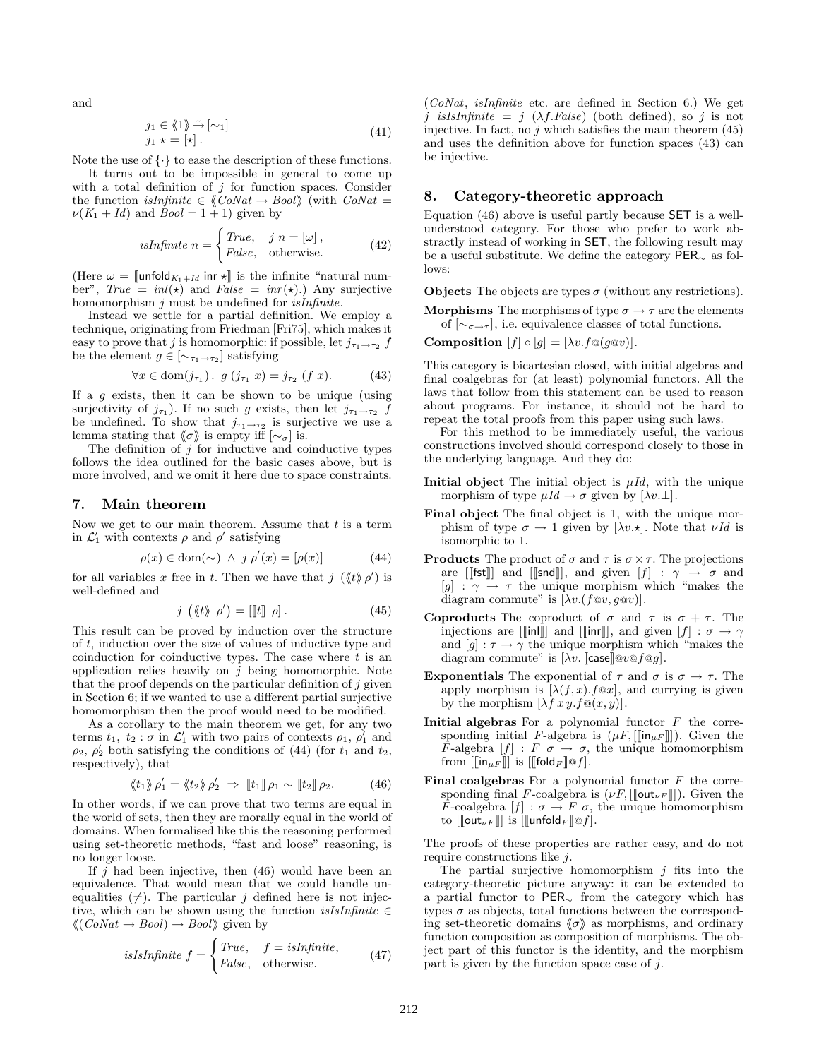and

$$
\begin{aligned}\nj_1 &\in \langle 1 \rangle \rightarrow \sim [\sim_1] \\
j_1 \star &= [\star].\n\end{aligned} \tag{41}
$$

Note the use of  $\{\cdot\}$  to ease the description of these functions.

It turns out to be impossible in general to come up with a total definition of  $j$  for function spaces. Consider the function isInfinite  $\in \langle \text{Cov}(t) \rangle$  (with  $\text{Cov}(t)$  =  $\nu(K_1 + Id)$  and  $Bool = 1 + 1)$  given by

is
$$
isInfinite \; n = \begin{cases} True, & j \; n = [\omega], \\ False, & \text{otherwise.} \end{cases} \tag{42}
$$

(Here  $\omega = \llbracket \text{unfold}_{K_1 + Id} \text{ inr } \star \rrbracket$  is the infinite "natural number",  $True = inl(\star)$  and  $False = inr(\star)$ .) Any surjective homomorphism  $j$  must be undefined for  $is Infinite$ .

Instead we settle for a partial definition. We employ a technique, originating from Friedman [Fri75], which makes it easy to prove that j is homomorphic: if possible, let  $j_{\tau_1 \to \tau_2}$  f be the element  $g \in [\sim_{\tau_1 \to \tau_2}]$  satisfying

$$
\forall x \in \text{dom}(j_{\tau_1}) \,.\, g\ (j_{\tau_1}\ x) = j_{\tau_2}\ (f\ x). \tag{43}
$$

If a  $q$  exists, then it can be shown to be unique (using surjectivity of  $j_{\tau_1}$ ). If no such g exists, then let  $j_{\tau_1 \to \tau_2}$  f be undefined. To show that  $j_{\tau_1 \to \tau_2}$  is surjective we use a lemma stating that  $\langle \sigma \rangle$  is empty iff  $[\sim_{\sigma}]$  is.

The definition of  $j$  for inductive and coinductive types follows the idea outlined for the basic cases above, but is more involved, and we omit it here due to space constraints.

# **7. Main theorem**

Now we get to our main theorem. Assume that  $t$  is a term in  $\mathcal{L}'_1$  with contexts  $\rho$  and  $\rho'$  satisfying

$$
\rho(x) \in \text{dom}(\sim) \ \land \ j \ \rho'(x) = [\rho(x)] \tag{44}
$$

for all variables x free in t. Then we have that  $j \left( \langle t \rangle \rho' \right)$  is well-defined and

$$
j\,\left(\langle\!\langle t\rangle\!\rangle\,\,\rho'\right) = \left[\!\left[\!\left[t\right]\!\right]\,\rho\!\right].\tag{45}
$$

This result can be proved by induction over the structure of  $t$ , induction over the size of values of inductive type and coinduction for coinductive types. The case where  $t$  is an application relies heavily on  $j$  being homomorphic. Note that the proof depends on the particular definition of  $j$  given in Section 6; if we wanted to use a different partial surjective homomorphism then the proof would need to be modified.

As a corollary to the main theorem we get, for any two terms  $t_1, t_2 : \sigma$  in  $\mathcal{L}_1'$  with two pairs of contexts  $\rho_1, \rho_1'$  and  $\rho_2$ ,  $\rho'_2$  both satisfying the conditions of (44) (for  $t_1$  and  $t_2$ , respectively), that

$$
\langle\!\langle t_1 \rangle\!\rangle \rho'_1 = \langle\!\langle t_2 \rangle\!\rangle \rho'_2 \Rightarrow \llbracket t_1 \rrbracket \rho_1 \sim \llbracket t_2 \rrbracket \rho_2. \tag{46}
$$

In other words, if we can prove that two terms are equal in the world of sets, then they are morally equal in the world of domains. When formalised like this the reasoning performed using set-theoretic methods, "fast and loose" reasoning, is no longer loose.

If  $i$  had been injective, then (46) would have been an equivalence. That would mean that we could handle unequalities  $(\neq)$ . The particular j defined here is not injective, which can be shown using the function isIsInfinite  $\in$  $\langle \langle \text{CoNat} \rightarrow \text{Bool} \rangle \rightarrow \text{Bool} \rangle$  given by

isIsInfinite 
$$
f = \begin{cases} True, & f = isInfinite, \\ False, & otherwise. \end{cases}
$$
 (47)

 $(CoNat, is Infinite etc.$  are defined in Section 6.) We get j isIsInfinite = j  $(\lambda f.False)$  (both defined), so j is not injective. In fact, no  $j$  which satisfies the main theorem  $(45)$ and uses the definition above for function spaces  $(43)$  can be injective.

# **8. Category-theoretic approach**

Equation  $(46)$  above is useful partly because SET is a wellunderstood category. For those who prefer to work abstractly instead of working in SET, the following result may be a useful substitute. We define the category PER<sup>∼</sup> as follows:

**Objects** The objects are types  $\sigma$  (without any restrictions).

**Morphisms** The morphisms of type  $\sigma \rightarrow \tau$  are the elements of  $[\sim_{\sigma \to \tau}]$ , i.e. equivalence classes of total functions.

**Composition**  $[f] \circ [q] = [\lambda v. f \circ (q \circ v)].$ 

This category is bicartesian closed, with initial algebras and final coalgebras for (at least) polynomial functors. All the laws that follow from this statement can be used to reason about programs. For instance, it should not be hard to repeat the total proofs from this paper using such laws.

For this method to be immediately useful, the various constructions involved should correspond closely to those in the underlying language. And they do:

- **Initial object** The initial object is  $\mu Id$ , with the unique morphism of type  $\mu Id \to \sigma$  given by  $[\lambda v.\bot]$ .
- **Final object** The final object is 1, with the unique morphism of type  $\sigma \to 1$  given by  $[\lambda v.\star]$ . Note that  $\nu Id$  is isomorphic to 1.
- **Products** The product of  $\sigma$  and  $\tau$  is  $\sigma \times \tau$ . The projections are [[**fst**]] and [[snd]], and given  $[f] : \gamma \to \sigma$  and  $[g] : \gamma \rightarrow \tau$  the unique morphism which "makes the diagram commute" is  $[\lambda v. (f@v, g@v)].$
- **Coproducts** The coproduct of  $\sigma$  and  $\tau$  is  $\sigma + \tau$ . The injections are [[|in|]] and [[|inr]], and given  $[f] : \sigma \to \gamma$ and  $[g] : \tau \to \gamma$  the unique morphism which "makes the diagram commute" is  $[\lambda v.$  [case] @ $v$  @ $f$  @ $g$ ].
- **Exponentials** The exponential of  $\tau$  and  $\sigma$  is  $\sigma \to \tau$ . The apply morphism is  $[\lambda(f, x) \cdot f \circ x]$ , and currying is given by the morphism  $[\lambda f \, x \, y \, f \, \text{O}(x, y)].$
- **Initial algebras** For a polynomial functor F the corresponding initial F-algebra is  $(\mu F, [[\![\mathsf{in}_{\mu F}]]])$ . Given the F-algebra  $[f] : F \nightharpoonup \sigma$ , the unique homomorphism from  $\left[\left[\begin{matrix} \textsf{in}_{\mu F} \end{matrix}\right]\right]$  is  $\left[\left[\begin{matrix} \textsf{fold}_F \end{matrix}\right] \text{Q} f\right]$ .
- **Final coalgebras** For a polynomial functor F the corresponding final F-coalgebra is  $(\nu F, [[\text{out}_{\nu F}]])$ . Given the F-coalgebra  $[f] : \sigma \to F \sigma$ , the unique homomorphism to  $\llbracket \mathsf{out}_{\nu F} \rrbracket$  is  $\llbracket \mathsf{unfold}_F \rrbracket \mathsf{@} f \rrbracket.$

The proofs of these properties are rather easy, and do not require constructions like j.

The partial surjective homomorphism  $j$  fits into the category-theoretic picture anyway: it can be extended to a partial functor to PER<sup>∼</sup> from the category which has types  $\sigma$  as objects, total functions between the corresponding set-theoretic domains  $\langle \sigma \rangle$  as morphisms, and ordinary function composition as composition of morphisms. The object part of this functor is the identity, and the morphism part is given by the function space case of  $j$ .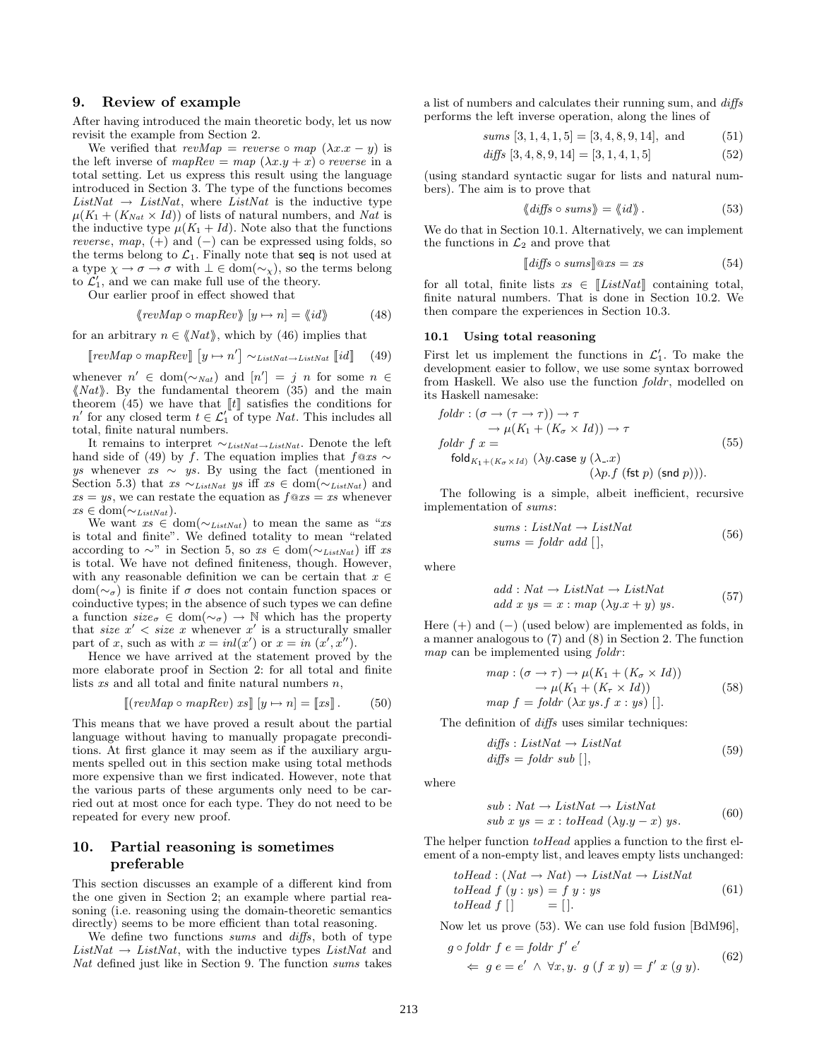# **9. Review of example**

After having introduced the main theoretic body, let us now revisit the example from Section 2.

We verified that  $revMap = reverse \circ map (\lambda x.x - y)$  is the left inverse of  $mapRev = map (\lambda x.y + x)$   $\circ$  reverse in a total setting. Let us express this result using the language introduced in Section 3. The type of the functions becomes  $ListNat \rightarrow ListNat$ , where  $ListNat$  is the inductive type  $\mu(K_1 + (K_{Nat} \times Id))$  of lists of natural numbers, and Nat is the inductive type  $\mu(K_1 + Id)$ . Note also that the functions reverse, map,  $(+)$  and  $(-)$  can be expressed using folds, so the terms belong to  $\mathcal{L}_1$ . Finally note that seq is not used at a type  $\chi \to \sigma \to \sigma$  with  $\bot \in \mathrm{dom}(\sim_\chi),$  so the terms belong to  $\mathcal{L}'_1$ , and we can make full use of the theory.

Our earlier proof in effect showed that

$$
\langle \langle revMap \circ mapRev \rangle \, [y \mapsto n] = \langle id \rangle \tag{48}
$$

for an arbitrary  $n \in \langle Nat \rangle$ , which by (46) implies that

$$
[revMap \circ mapRev] [y \mapsto n'] \sim_{ListNat \to ListNat} [id] \quad (49)
$$

whenever  $n' \in \text{dom}(\sim_{Nat})$  and  $[n'] = j \, n$  for some  $n \in$  $\langle Nat \rangle$ . By the fundamental theorem (35) and the main theorem (45) we have that  $\llbracket t \rrbracket$  satisfies the conditions for  $n'$  for any closed term  $t \in \mathcal{L}'_1$  of type *Nat*. This includes all total, finite natural numbers.

It remains to interpret ∼*ListNat*→*ListNat*. Denote the left hand side of (49) by f. The equation implies that  $f@xs \sim$  $ys$  whenever  $xs \sim ys$ . By using the fact (mentioned in Section 5.3) that  $xs \sim_{ListNat} ys$  iff  $xs \in \text{dom}(\sim_{ListNat})$  and  $xs = ys$ , we can restate the equation as  $f@xs = xs$  whenever  $xs \in \text{dom}(\sim_{ListNat}).$ 

We want  $xs \in \text{dom}(\sim_{ListNat})$  to mean the same as "xs" is total and finite". We defined totality to mean "related according to  $\sim$ " in Section 5, so xs ∈ dom( $\sim$ <sub>ListNat</sub>) iff xs is total. We have not defined finiteness, though. However, with any reasonable definition we can be certain that  $x$   $\in$ dom( $\sim_{\sigma}$ ) is finite if  $\sigma$  does not contain function spaces or coinductive types; in the absence of such types we can define a function  $size_{\sigma} \in \text{dom}(\sim_{\sigma}) \to \mathbb{N}$  which has the property that size  $x' <$  size x whenever x' is a structurally smaller part of x, such as with  $x = inl(x')$  or  $x = in (x', x'')$ .

Hence we have arrived at the statement proved by the more elaborate proof in Section 2: for all total and finite lists  $xs$  and all total and finite natural numbers  $n$ ,

$$
[(\text{revMap}\circ\text{mapRev})\text{ xs}][y \mapsto n] = [xs]. \qquad (50)
$$

This means that we have proved a result about the partial language without having to manually propagate preconditions. At first glance it may seem as if the auxiliary arguments spelled out in this section make using total methods more expensive than we first indicated. However, note that the various parts of these arguments only need to be carried out at most once for each type. They do not need to be repeated for every new proof.

# **10. Partial reasoning is sometimes preferable**

This section discusses an example of a different kind from the one given in Section 2; an example where partial reasoning (i.e. reasoning using the domain-theoretic semantics directly) seems to be more efficient than total reasoning.

We define two functions sums and diffs, both of type  $ListNat \rightarrow ListNat$ , with the inductive types  $ListNat$  and Nat defined just like in Section 9. The function sums takes

a list of numbers and calculates their running sum, and diffs performs the left inverse operation, along the lines of

*sums* 
$$
[3, 1, 4, 1, 5] = [3, 4, 8, 9, 14]
$$
, and  $(51)$ 

$$
diffs [3, 4, 8, 9, 14] = [3, 1, 4, 1, 5]
$$
\n
$$
(52)
$$

(using standard syntactic sugar for lists and natural numbers). The aim is to prove that

$$
\langle\!\langle\mathit{diffs}\circ\mathit{sums}\rangle\!\rangle = \langle\!\langle\mathit{id}\rangle\!\rangle. \tag{53}
$$

We do that in Section 10.1. Alternatively, we can implement the functions in  $\mathcal{L}_2$  and prove that

$$
[diffs \circ sums] @ xs = xs \tag{54}
$$

for all total, finite lists  $xs \in \llbracket ListNat \rrbracket$  containing total, finite natural numbers. That is done in Section 10.2. We then compare the experiences in Section 10.3.

#### **10.1 Using total reasoning**

First let us implement the functions in  $\mathcal{L}'_1$ . To make the development easier to follow, we use some syntax borrowed from Haskell. We also use the function foldr, modelled on its Haskell namesake:

$$
foldr : (\sigma \to (\tau \to \tau)) \to \tau
$$
  
\n
$$
\to \mu(K_1 + (K_{\sigma} \times Id)) \to \tau
$$
  
\n
$$
foldr f x =
$$
  
\n
$$
fold_{K_1 + (K_{\sigma} \times Id)} (\lambda y \text{.case } y (\lambda \text{...} x)
$$
  
\n
$$
(\lambda p.f \text{ (fst } p) \text{ (snd } p))).
$$
\n(55)

The following is a simple, albeit inefficient, recursive implementation of sums:

$$
sums : ListNat \rightarrow ListNat
$$
  
\n
$$
sums = foldr \ add \ [ \ ],
$$
\n(56)

where

$$
add: Nat \rightarrow ListNat \rightarrow ListNat
$$
  

$$
add x y s = x : map (\lambda y.x + y) y s.
$$
 (57)

Here  $(+)$  and  $(-)$  (used below) are implemented as folds, in a manner analogous to  $(7)$  and  $(8)$  in Section 2. The function map can be implemented using foldr:

$$
\begin{array}{ll}\n\text{map} : (\sigma \to \tau) \to \mu(K_1 + (K_\sigma \times Id)) \\
\to \mu(K_1 + (K_\tau \times Id)) \\
\text{map } f = \text{foldr } (\lambda x \text{ ys.f } x : \text{ys } | \, ].\n\end{array} \tag{58}
$$

The definition of *diffs* uses similar techniques:

$$
diffs: ListNat \rightarrow ListNat
$$
  

$$
diffs = foldr \, sub \, [ \, ],
$$
  
(59)

where

$$
sub: Nat \to ListNat \to ListNat
$$
  
\n
$$
sub x y s = x : toHead (\lambda y . y - x) y s.
$$
 (60)

The helper function *toHead* applies a function to the first element of a non-empty list, and leaves empty lists unchanged:

$$
toHead: (Nat \rightarrow Nat) \rightarrow ListNat \rightarrow ListNat
$$
  

$$
toHead f (y : ys) = f y : ys
$$
  

$$
toHead f [] = [].
$$
 (61)

Now let us prove (53). We can use fold fusion [BdM96],

$$
g \circ foldr \ f \ e = foldr \ f' \ e'
$$
  

$$
\Leftarrow \ g \ e = e' \ \land \ \forall x, y. \ g \ (f \ x \ y) = f' \ x \ (g \ y).
$$
 (62)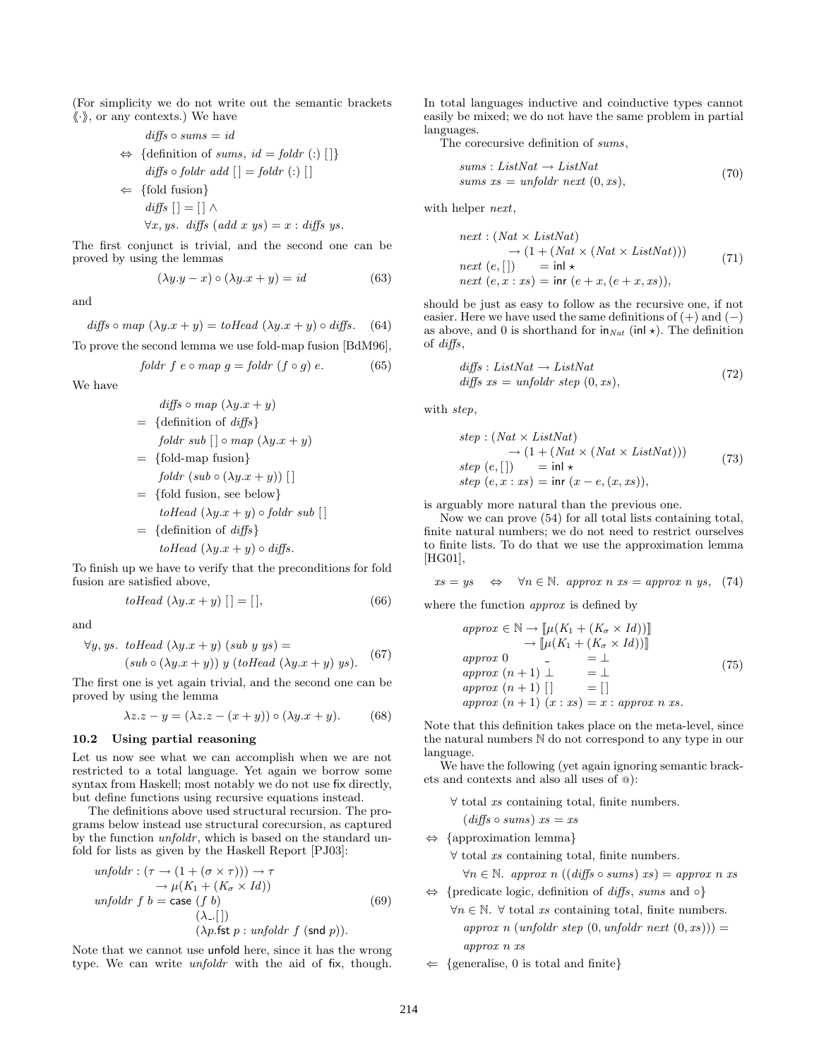(For simplicity we do not write out the semantic brackets  $\langle \cdot \rangle$ , or any contexts.) We have

$$
diffs \circ sums = id
$$
  
\n
$$
\Leftrightarrow \{\text{definition of sums, } id = foldr \ (\text{:}) \ [\ ]\}
$$
  
\n
$$
diffs \circ foldr \ add \ [ ] = foldr \ (\text{:}) \ [ ]
$$
  
\n
$$
\Leftrightarrow \{\text{fold fusion}\}
$$
  
\n
$$
diffs \ [ ] = [] \ \wedge
$$

 $\forall x, y$ s. diffs (add x ys) = x : diffs ys.

The first conjunct is trivial, and the second one can be proved by using the lemmas

$$
(\lambda y. y - x) \circ (\lambda y. x + y) = id \tag{63}
$$

and

diffs o map 
$$
(\lambda y.x + y) = toHead (\lambda y.x + y) \circ diffs.
$$
 (64)

To prove the second lemma we use fold-map fusion [BdM96],

$$
foldr \ f \ e \circ map \ g = foldr \ (f \circ g) \ e. \tag{65}
$$

We have

$$
diffs \circ map \ (\lambda y.x + y)
$$
\n
$$
= \{definition of \ diffs\}
$$
\n
$$
foldr \ sub \ [\ ] \circ map \ (\lambda y.x + y)
$$
\n
$$
= \{fold-map \ fusion\}
$$
\n
$$
foldr \ (sub \ \Diamond \ \lambda y.x + y)) \ [[\ ]
$$
\n
$$
= \{fold \ fusion, \ see \ below\}
$$
\n
$$
toHead \ (\lambda y.x + y) \circ foldr \ sub \ [[\ ]
$$
\n
$$
= \{definition \ of \ diffs\}
$$
\n
$$
toHead \ (\lambda y.x + y) \circ diffs.
$$

To finish up we have to verify that the preconditions for fold fusion are satisfied above,

$$
toHead\ (\lambda y.x + y)\ [] = []\tag{66}
$$

and

$$
\forall y, ys. \text{ toHead } (\lambda y.x + y) (sub y ys) =(sub \circ (\lambda y.x + y)) y (toHead (\lambda y.x + y) ys).
$$
 (67)

The first one is yet again trivial, and the second one can be proved by using the lemma

$$
\lambda z. z - y = (\lambda z. z - (x + y)) \circ (\lambda y. x + y). \tag{68}
$$

#### **10.2 Using partial reasoning**

Let us now see what we can accomplish when we are not restricted to a total language. Yet again we borrow some syntax from Haskell; most notably we do not use fix directly, but define functions using recursive equations instead.

The definitions above used structural recursion. The programs below instead use structural corecursion, as captured by the function unfoldr, which is based on the standard unfold for lists as given by the Haskell Report [PJ03]:

$$
unfoldr : (\tau \to (1 + (\sigma \times \tau))) \to \tau
$$
  
\n
$$
\to \mu(K_1 + (K_\sigma \times Id))
$$
  
\n
$$
unfoldr f b = \text{case } (f b)
$$
  
\n
$$
(\lambda - [] )
$$
  
\n
$$
(\lambda p.\text{fst } p : unfoldr f (\text{snd } p)).
$$
\n(69)

Note that we cannot use unfold here, since it has the wrong type. We can write *unfoldr* with the aid of fix, though. In total languages inductive and coinductive types cannot easily be mixed; we do not have the same problem in partial languages.

The corecursive definition of sums,

$$
sums: ListNat \rightarrow ListNat
$$
  
sums  $xs = unfoldr next (0, xs),$  (70)

with helper *next*,

next: 
$$
(Nat \times ListNat)
$$
  
\n $\rightarrow (1 + (Nat \times (Nat \times ListNat)))$   
\nnext (e, [] ) = inl \*  
\nnext (e, x : xs) = inr (e + x, (e + x, xs)), (71)

should be just as easy to follow as the recursive one, if not easier. Here we have used the same definitions of  $(+)$  and  $(-)$ as above, and 0 is shorthand for  $\mathsf{in}_{\mathit{Nat}}$  (inl  $\star$ ). The definition of diffs,

$$
diffs: ListNat \rightarrow ListNat
$$
  
diffs xs = unfoldr step (0, xs), (72)

with step,

$$
step: (Nat \times ListNat)
$$
  
\n
$$
\rightarrow (1 + (Nat \times (Nat \times ListNat)))
$$
  
\n
$$
step (e, [] ) = in1 \star
$$
  
\n
$$
step (e, x : xs) = inr (x - e, (x, xs)),
$$
\n(73)

is arguably more natural than the previous one.

Now we can prove  $(54)$  for all total lists containing total, finite natural numbers; we do not need to restrict ourselves to finite lists. To do that we use the approximation lemma [HG01],

$$
xs = ys \quad \Leftrightarrow \quad \forall n \in \mathbb{N}. \text{ approx } n \text{ as } = \text{approx } n \text{ ys}, \tag{74}
$$

where the function approx is defined by

$$
\begin{aligned}\n\text{approx} \in \mathbb{N} &\rightarrow \left[ \mu(K_1 + (K_\sigma \times Id)) \right] \\
&\rightarrow \left[ \mu(K_1 + (K_\sigma \times Id)) \right] \\
\text{approx 0} &\quad - \quad = \bot \\
\text{approx} (n+1) \perp &\quad = \bot \\
\text{approx} (n+1) \left[ \right] &\quad = \left[ \right] \\
\text{approx} (n+1) (x:xs) &\quad = x: \text{approx n xs.}\n\end{aligned} \tag{75}
$$

Note that this definition takes place on the meta-level, since the natural numbers N do not correspond to any type in our language.

We have the following (yet again ignoring semantic brackets and contexts and also all uses of @):

 $\forall$  total xs containing total, finite numbers.

$$
(\textit{diffs} \circ \textit{sums}) \textit{xs} = \textit{xs}
$$

⇔ {approximation lemma}

∀ total xs containing total, finite numbers.

 $\forall n \in \mathbb{N}$ . approx n ((diffs  $\circ$  sums) xs) = approx n xs

```
⇔ {predicate logic, definition of diffs, sums and ◦}
```
- $∀n ∈ ℕ. ∀ total xs containing total, finite numbers.$ approx n (unfoldr step  $(0, \text{unfoldr} \text{ next } (0, \text{xs}))$ ) approx n xs
- $\Leftarrow$  {generalise, 0 is total and finite}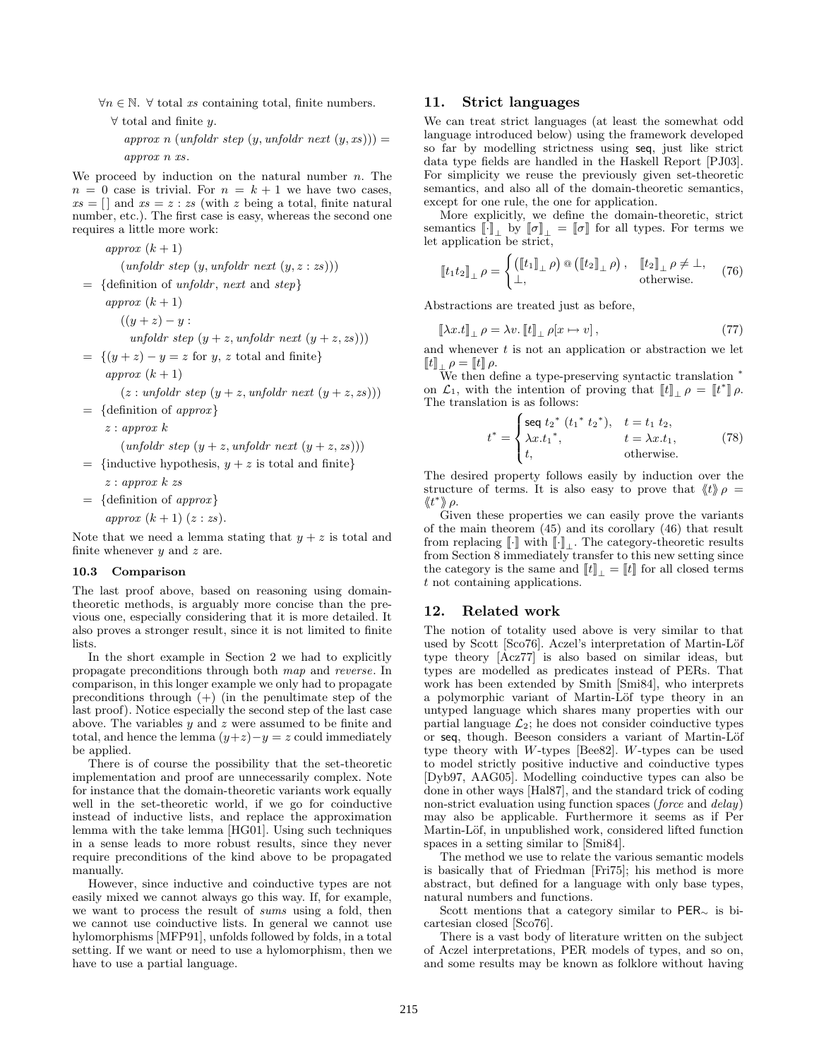$\forall n \in \mathbb{N}$ .  $\forall$  total xs containing total, finite numbers.

 $\forall$  total and finite y.

approx n (unfoldr step  $(y, \text{unfoldr} \text{ next } (y, \text{xs}))$ ) approx n xs.

We proceed by induction on the natural number  $n$ . The  $n = 0$  case is trivial. For  $n = k + 1$  we have two cases,  $xs = []$  and  $xs = z : zs$  (with z being a total, finite natural number, etc.). The first case is easy, whereas the second one requires a little more work:

approx  $(k+1)$  $(unfoldr step (y, unfoldr next (y, z: zs)))$  $= \{ \text{definition of} \text{unfold}r, \text{ next} \text{ and } \text{step} \}$ approx  $(k+1)$  $((y + z) - y)$ : unfoldr step  $(y + z, \text{unfoldr} \text{ next } (y + z, \text{zs})))$  $= \{(y + z) - y = z \text{ for } y, z \text{ total and finite}\}$ approx  $(k+1)$  $(z : unfoldr step (y + z, unfoldr next (y + z, zs)))$  $= \{ \text{definition of } approx \}$ z : approx k  $(unfoldr step (y + z, unfoldr next (y + z, zs)))$  $=$  {inductive hypothesis,  $y + z$  is total and finite} z : approx k zs  $= \{$  definition of *approx* $\}$ approx  $(k+1)(z:zs)$ .

Note that we need a lemma stating that  $y + z$  is total and finite whenever  $y$  and  $z$  are.

#### **10.3 Comparison**

The last proof above, based on reasoning using domaintheoretic methods, is arguably more concise than the previous one, especially considering that it is more detailed. It also proves a stronger result, since it is not limited to finite lists.

In the short example in Section 2 we had to explicitly propagate preconditions through both map and reverse. In comparison, in this longer example we only had to propagate preconditions through  $(+)$  (in the penultimate step of the last proof). Notice especially the second step of the last case above. The variables  $y$  and  $z$  were assumed to be finite and total, and hence the lemma  $(y+z)-y=z$  could immediately be applied.

There is of course the possibility that the set-theoretic implementation and proof are unnecessarily complex. Note for instance that the domain-theoretic variants work equally well in the set-theoretic world, if we go for coinductive instead of inductive lists, and replace the approximation lemma with the take lemma [HG01]. Using such techniques in a sense leads to more robust results, since they never require preconditions of the kind above to be propagated manually.

However, since inductive and coinductive types are not easily mixed we cannot always go this way. If, for example, we want to process the result of sums using a fold, then we cannot use coinductive lists. In general we cannot use hylomorphisms [MFP91], unfolds followed by folds, in a total setting. If we want or need to use a hylomorphism, then we have to use a partial language.

# **11. Strict languages**

We can treat strict languages (at least the somewhat odd language introduced below) using the framework developed so far by modelling strictness using seq, just like strict data type fields are handled in the Haskell Report [PJ03]. For simplicity we reuse the previously given set-theoretic semantics, and also all of the domain-theoretic semantics, except for one rule, the one for application.

More explicitly, we define the domain-theoretic, strict semantics  $[\![\cdot]\!]_+$  by  $[\![\sigma]\!]_+ = [\![\sigma]\!]$  for all types. For terms we let application be strict,

$$
\llbracket t_1 t_2 \rrbracket_{\perp} \rho = \begin{cases} \left( \llbracket t_1 \rrbracket_{\perp} \rho \right) \circledast \left( \llbracket t_2 \rrbracket_{\perp} \rho \right), & \llbracket t_2 \rrbracket_{\perp} \rho \neq \perp, \\ \perp, & \text{otherwise.} \end{cases} \tag{76}
$$

Abstractions are treated just as before,

$$
\llbracket \lambda x. t \rrbracket_{\perp} \, \rho = \lambda v. \, \llbracket t \rrbracket_{\perp} \, \rho[x \mapsto v], \tag{77}
$$

and whenever  $t$  is not an application or abstraction we let  $\llbracket t \rrbracket_{\pm, \rho} = \llbracket t \rrbracket \, \rho.$ 

We then define a type-preserving syntactic translation <sup>∗</sup> on  $\mathcal{L}_1$ , with the intention of proving that  $\llbracket t \rrbracket_\perp \rho = \llbracket t^* \rrbracket \rho$ . The translation is as follows:

$$
t^* = \begin{cases} \text{seq } t_2^* \ (t_1^* \ t_2^*), & t = t_1 \ t_2, \\ \lambda x . t_1^*, & t = \lambda x . t_1, \\ t, & \text{otherwise.} \end{cases} \tag{78}
$$

The desired property follows easily by induction over the structure of terms. It is also easy to prove that  $\langle t \rangle \rho =$  $\langle\!\langle t^*\rangle\!\rangle \rho.$ 

Given these properties we can easily prove the variants of the main theorem  $(45)$  and its corollary  $(46)$  that result from replacing  $[\![\cdot]\!]$  with  $[\![\cdot]\!]_\perp$ . The category-theoretic results from Section 8 immediately transfer to this new setting since the category is the same and  $\llbracket t \rrbracket_{\perp} = \llbracket t \rrbracket$  for all closed terms t not containing applications.

# **12. Related work**

The notion of totality used above is very similar to that used by Scott [Sco76]. Aczel's interpretation of Martin-Löf type theory [Acz77] is also based on similar ideas, but types are modelled as predicates instead of PERs. That work has been extended by Smith [Smi84], who interprets a polymorphic variant of Martin-Löf type theory in an untyped language which shares many properties with our partial language  $\mathcal{L}_2$ ; he does not consider coinductive types or seq, though. Beeson considers a variant of Martin-Löf type theory with W-types [Bee82]. W-types can be used to model strictly positive inductive and coinductive types [Dyb97, AAG05]. Modelling coinductive types can also be done in other ways [Hal87], and the standard trick of coding non-strict evaluation using function spaces (*force* and *delay*) may also be applicable. Furthermore it seems as if Per Martin-Löf, in unpublished work, considered lifted function spaces in a setting similar to [Smi84].

The method we use to relate the various semantic models is basically that of Friedman [Fri75]; his method is more abstract, but defined for a language with only base types, natural numbers and functions.

Scott mentions that a category similar to PER<sup>∼</sup> is bicartesian closed [Sco76].

There is a vast body of literature written on the subject of Aczel interpretations, PER models of types, and so on, and some results may be known as folklore without having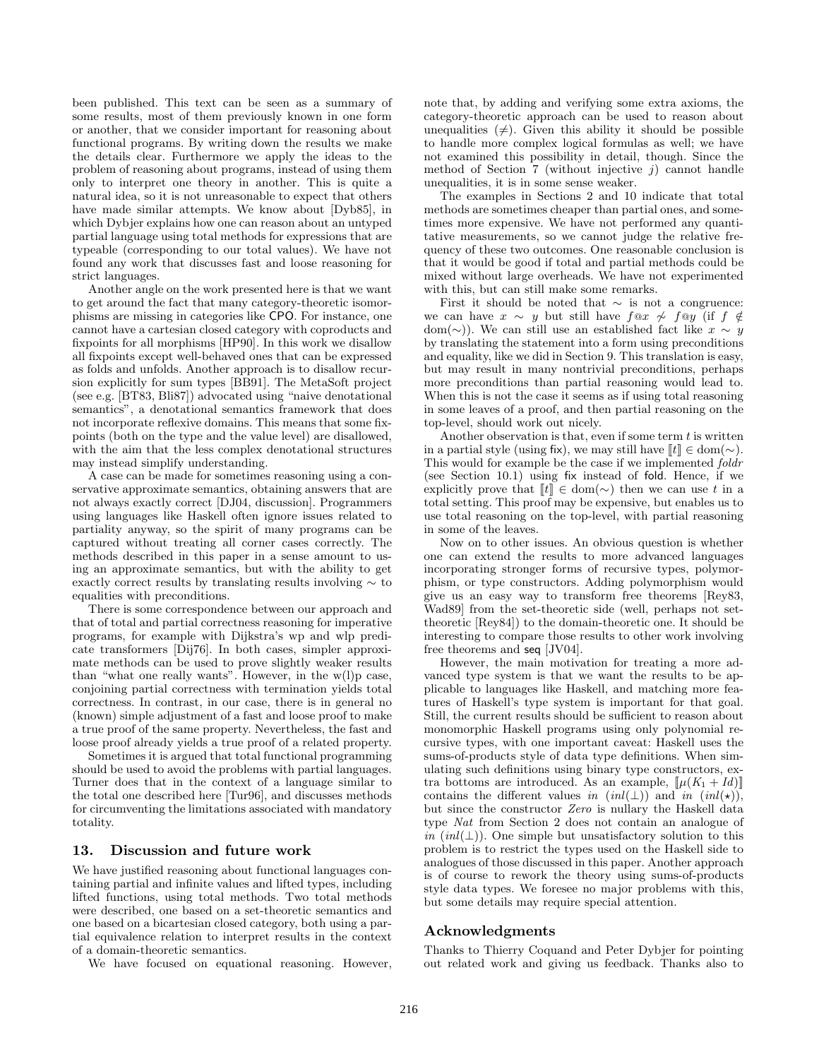been published. This text can be seen as a summary of some results, most of them previously known in one form or another, that we consider important for reasoning about functional programs. By writing down the results we make the details clear. Furthermore we apply the ideas to the problem of reasoning about programs, instead of using them only to interpret one theory in another. This is quite a natural idea, so it is not unreasonable to expect that others have made similar attempts. We know about [Dyb85], in which Dybjer explains how one can reason about an untyped partial language using total methods for expressions that are typeable (corresponding to our total values). We have not found any work that discusses fast and loose reasoning for strict languages.

Another angle on the work presented here is that we want to get around the fact that many category-theoretic isomorphisms are missing in categories like CPO. For instance, one cannot have a cartesian closed category with coproducts and fixpoints for all morphisms [HP90]. In this work we disallow all fixpoints except well-behaved ones that can be expressed as folds and unfolds. Another approach is to disallow recursion explicitly for sum types [BB91]. The MetaSoft project (see e.g. [BT83, Bli87]) advocated using "naive denotational semantics", a denotational semantics framework that does not incorporate reflexive domains. This means that some fixpoints (both on the type and the value level) are disallowed, with the aim that the less complex denotational structures may instead simplify understanding.

A case can be made for sometimes reasoning using a conservative approximate semantics, obtaining answers that are not always exactly correct [DJ04, discussion]. Programmers using languages like Haskell often ignore issues related to partiality anyway, so the spirit of many programs can be captured without treating all corner cases correctly. The methods described in this paper in a sense amount to using an approximate semantics, but with the ability to get exactly correct results by translating results involving ∼ to equalities with preconditions.

There is some correspondence between our approach and that of total and partial correctness reasoning for imperative programs, for example with Dijkstra's wp and wlp predicate transformers [Dij76]. In both cases, simpler approximate methods can be used to prove slightly weaker results than "what one really wants". However, in the w(l)p case, conjoining partial correctness with termination yields total correctness. In contrast, in our case, there is in general no (known) simple adjustment of a fast and loose proof to make a true proof of the same property. Nevertheless, the fast and loose proof already yields a true proof of a related property.

Sometimes it is argued that total functional programming should be used to avoid the problems with partial languages. Turner does that in the context of a language similar to the total one described here [Tur96], and discusses methods for circumventing the limitations associated with mandatory totality.

#### **13. Discussion and future work**

We have justified reasoning about functional languages containing partial and infinite values and lifted types, including lifted functions, using total methods. Two total methods were described, one based on a set-theoretic semantics and one based on a bicartesian closed category, both using a partial equivalence relation to interpret results in the context of a domain-theoretic semantics.

We have focused on equational reasoning. However,

note that, by adding and verifying some extra axioms, the category-theoretic approach can be used to reason about unequalities  $(\neq)$ . Given this ability it should be possible to handle more complex logical formulas as well; we have not examined this possibility in detail, though. Since the method of Section 7 (without injective  $j$ ) cannot handle unequalities, it is in some sense weaker.

The examples in Sections 2 and 10 indicate that total methods are sometimes cheaper than partial ones, and sometimes more expensive. We have not performed any quantitative measurements, so we cannot judge the relative frequency of these two outcomes. One reasonable conclusion is that it would be good if total and partial methods could be mixed without large overheads. We have not experimented with this, but can still make some remarks.

First it should be noted that  $\sim$  is not a congruence: we can have  $x \sim y$  but still have  $f \otimes x \not\sim f \otimes y$  (if  $f \notin$ dom(∼)). We can still use an established fact like  $x \sim y$ by translating the statement into a form using preconditions and equality, like we did in Section 9. This translation is easy, but may result in many nontrivial preconditions, perhaps more preconditions than partial reasoning would lead to. When this is not the case it seems as if using total reasoning in some leaves of a proof, and then partial reasoning on the top-level, should work out nicely.

Another observation is that, even if some term  $t$  is written in a partial style (using fix), we may still have  $[[t]] \in \text{dom}(\sim)$ . This would for example be the case if we implemented *foldr* (see Section  $10.1$ ) using fix instead of fold. Hence, if we explicitly prove that  $[[t]] \in \text{dom}(\sim)$  then we can use t in a total setting. This proof may be expensive, but enables us to use total reasoning on the top-level, with partial reasoning in some of the leaves.

Now on to other issues. An obvious question is whether one can extend the results to more advanced languages incorporating stronger forms of recursive types, polymorphism, or type constructors. Adding polymorphism would give us an easy way to transform free theorems [Rey83, Wad89] from the set-theoretic side (well, perhaps not settheoretic  $[Rey84]$  to the domain-theoretic one. It should be interesting to compare those results to other work involving free theorems and seq [JV04].

However, the main motivation for treating a more advanced type system is that we want the results to be applicable to languages like Haskell, and matching more features of Haskell's type system is important for that goal. Still, the current results should be sufficient to reason about monomorphic Haskell programs using only polynomial recursive types, with one important caveat: Haskell uses the sums-of-products style of data type definitions. When simulating such definitions using binary type constructors, extra bottoms are introduced. As an example,  $[\![\mu(K_1 + Id)]\!]$ contains the different values in  $(int(\perp))$  and in  $(int(\star))$ , but since the constructor Zero is nullary the Haskell data type Nat from Section 2 does not contain an analogue of in  $(nl(\perp))$ . One simple but unsatisfactory solution to this problem is to restrict the types used on the Haskell side to analogues of those discussed in this paper. Another approach is of course to rework the theory using sums-of-products style data types. We foresee no major problems with this, but some details may require special attention.

# **Acknowledgments**

Thanks to Thierry Coquand and Peter Dybjer for pointing out related work and giving us feedback. Thanks also to